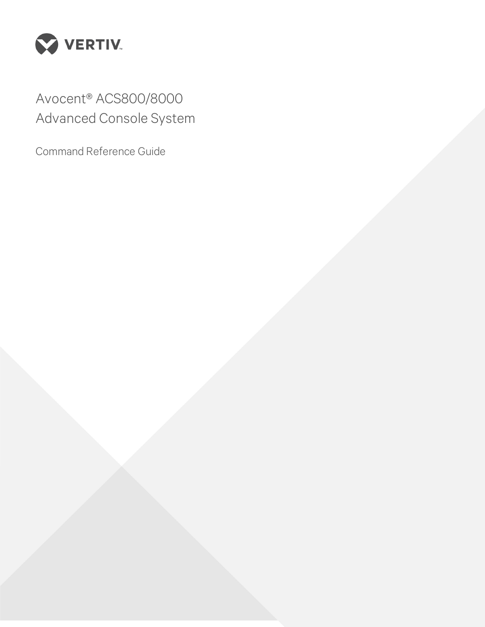

Avocent® ACS800/8000 Advanced Console System

Command Reference Guide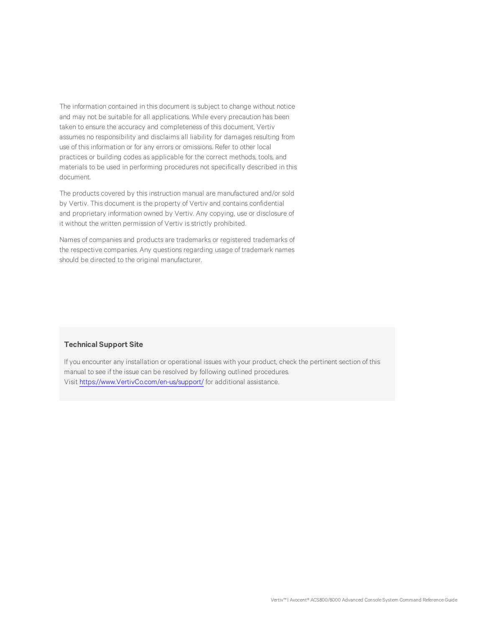The information contained in this document is subject to change without notice and may not be suitable for all applications. While every precaution has been taken to ensure the accuracy and completeness of this document, Vertiv assumes no responsibility and disclaims all liability for damages resulting from use of this information or for any errors or omissions. Refer to other local practices or building codes as applicable for the correct methods, tools, and materials to be used in performing procedures not specifically described in this document.

The products covered by this instruction manual are manufactured and/or sold by Vertiv. This document is the property of Vertiv and contains confidential and proprietary information owned by Vertiv. Any copying, use or disclosure of it without the written permission of Vertiv is strictly prohibited.

Names of companies and products are trademarks or registered trademarks of the respective companies. Any questions regarding usage of trademark names should be directed to the original manufacturer.

### **Technical Support Site**

If you encounter any installation or operational issues with your product, check the pertinent section of this manual to see if the issue can be resolved by following outlined procedures. Visit [https://www.VertivCo.com/en-us/support/](https://www.vertivco.com/en-us/support/) for additional assistance.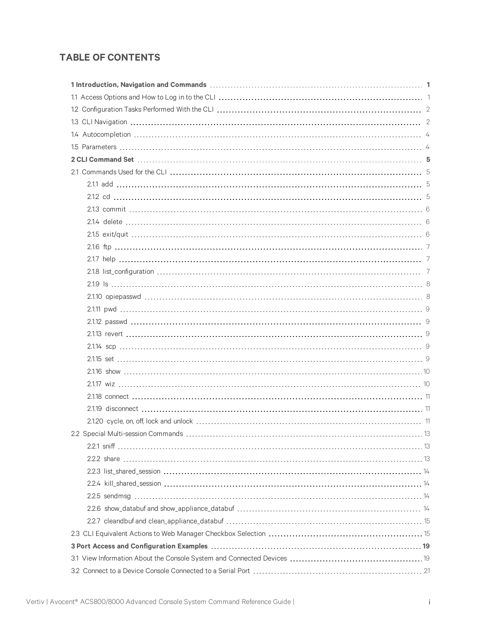# **TABLE OF CONTENTS**

| .13 |  |
|-----|--|
|     |  |
|     |  |
|     |  |
|     |  |
|     |  |
|     |  |
|     |  |
|     |  |
|     |  |
|     |  |
|     |  |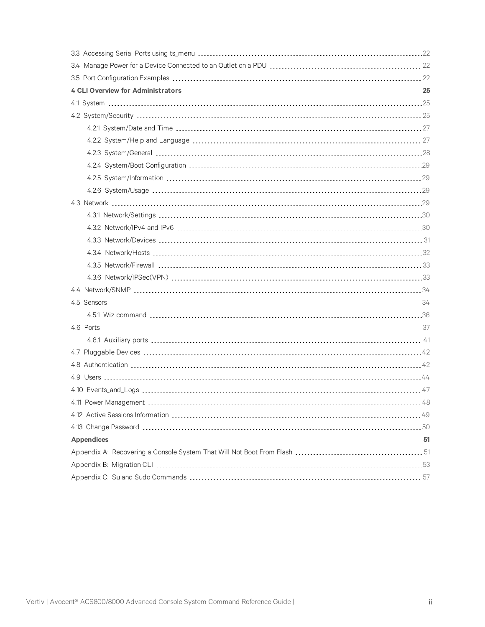| 4.11 Power Management | 48 |
|-----------------------|----|
|                       |    |
|                       |    |
|                       |    |
|                       |    |
|                       |    |
|                       |    |
|                       |    |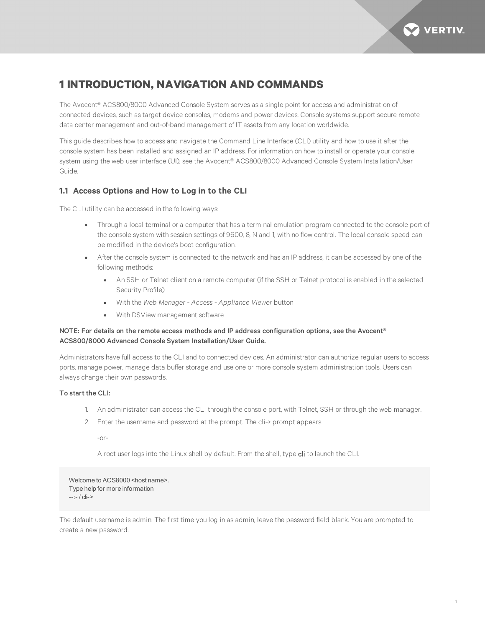

# <span id="page-4-0"></span>**1 INTRODUCTION, NAVIGATION AND COMMANDS**

The Avocent® ACS800/8000 Advanced Console System serves as a single point for access and administration of connected devices, such as target device consoles, modems and power devices. Console systems support secure remote data center management and out-of-band management of IT assets from any location worldwide.

This guide describes how to access and navigate the Command Line Interface (CLI) utility and how to use it after the console system has been installed and assigned an IP address. For information on how to install or operate your console system using the web user interface (UI), see the Avocent® ACS800/8000 Advanced Console System Installation/User Guide.

## <span id="page-4-1"></span>**1.1 Access Options and How to Log in to the CLI**

The CLI utility can be accessed in the following ways:

- Through a local terminal or a computer that has a terminal emulation program connected to the console port of the console system with session settings of 9600, 8, N and 1, with no flow control. The local console speed can be modified in the device's boot configuration.
- After the console system is connected to the network and has an IP address, it can be accessed by one of the following methods:
	- An SSH or Telnet client on a remote computer (if the SSH or Telnet protocol is enabled in the selected Security Profile)
	- With the *Web Manager Access Appliance Viewer* button
	- With DSView management software

## NOTE: For details on the remote access methods and IP address configuration options, see the Avocent® ACS800/8000 Advanced Console System Installation/User Guide.

Administrators have full access to the CLI and to connected devices. An administrator can authorize regular users to access ports, manage power, manage data buffer storage and use one or more console system administration tools. Users can always change their own passwords.

### To start the CLI:

- 1. An administrator can access the CLI through the console port, with Telnet, SSH or through the web manager.
- 2. Enter the username and password at the prompt. The cli-> prompt appears.

 $-0r$ -

A root user logs into the Linux shell by default. From the shell, type cli to launch the CLI.

```
Welcome to ACS8000 <host name>.
Type help for more information
--:- / cli->
```
The default username is admin. The first time you log in as admin, leave the password field blank. You are prompted to create a new password.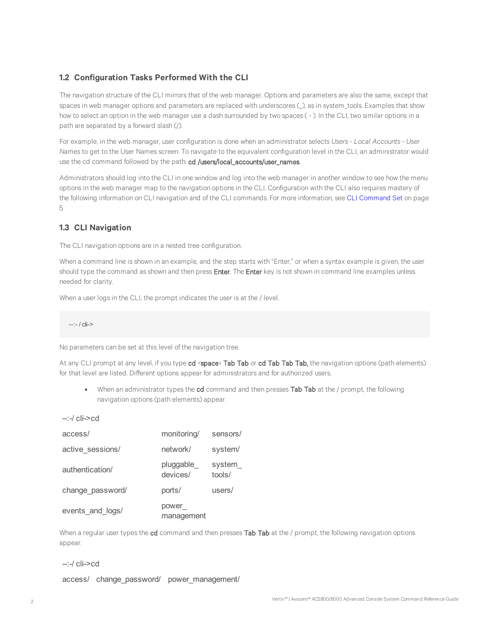## <span id="page-5-0"></span>**1.2 Configuration Tasks Performed With the CLI**

The navigation structure of the CLI mirrors that of the web manager. Options and parameters are also the same, except that spaces in web manager options and parameters are replaced with underscores (), as in system\_tools. Examples that show how to select an option in the web manager use a dash surrounded by two spaces (-). In the CLI, two similar options in a path are separated by a forward slash (/).

For example, in the web manager, user configuration is done when an administrator selects *Users* - *Local Accounts* - *User Names* to get to the User Names screen. To navigate to the equivalent configuration level in the CLI, an administrator would use the cd command followed by the path: cd /users/local\_accounts/user\_names.

Administrators should log into the CLI in one window and log into the web manager in another window to see how the menu options in the web manager map to the navigation options in the CLI. Configuration with the CLI also requires mastery of the following information on CLI navigation and of the CLI commands. For more information, see [CLI Command Set](#page-8-0) on page [5](#page-8-0)

## <span id="page-5-1"></span>**1.3 CLI Navigation**

The CLI navigation options are in a nested tree configuration.

When a command line is shown in an example, and the step starts with "Enter," or when a syntax example is given, the user should type the command as shown and then press **Enter**. The **Enter** key is not shown in command line examples unless needed for clarity.

When a user logs in the CLI, the prompt indicates the user is at the / level.

--:- / cli->

No parameters can be set at this level of the navigation tree.

At any CLI prompt at any level, if you type cd <space> Tab Tab or cd Tab Tab, the navigation options (path elements) for that level are listed. Different options appear for administrators and for authorized users.

• When an administrator types the cd command and then presses Tab Tab at the / prompt, the following navigation options (path elements) appear.

--:-/ cli->cd

| access/          | monitoring/           | sensors/         |
|------------------|-----------------------|------------------|
| active sessions/ | network/              | system/          |
| authentication/  | pluggable<br>devices/ | system<br>tools/ |
| change password/ | ports/                | users/           |
| events and logs/ | power<br>management   |                  |

When a regular user types the cd command and then presses Tab Tab at the / prompt, the following navigation options appear.

```
-:-/ cli->cd
```
access/ change\_password/ power\_management/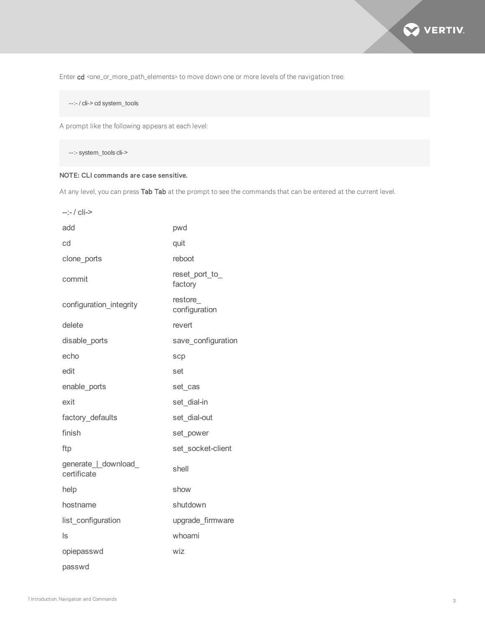

Enter cd <one\_or\_more\_path\_elements> to move down one or more levels of the navigation tree:

--:- / cli-> cd system\_tools

A prompt like the following appears at each level:

--:- system\_tools cli->

## NOTE: CLI commands are case sensitive.

At any level, you can press Tab Tab at the prompt to see the commands that can be entered at the current level.

| --:- / cli->                       |                           |
|------------------------------------|---------------------------|
| add                                | pwd                       |
| cd                                 | quit                      |
| clone_ports                        | reboot                    |
| commit                             | reset_port_to_<br>factory |
| configuration_integrity            | restore<br>configuration  |
| delete                             | revert                    |
| disable ports                      | save_configuration        |
| echo                               | scp                       |
| edit                               | set                       |
| enable_ports                       | set_cas                   |
| exit                               | set dial-in               |
| factory_defaults                   | set dial-out              |
| finish                             | set_power                 |
| ftp                                | set socket-client         |
| generate   download<br>certificate | shell                     |
| help                               | show                      |
| hostname                           | shutdown                  |
| list_configuration                 | upgrade_firmware          |
| ls                                 | whoami                    |
| opiepasswd                         | wiz                       |
| passwd                             |                           |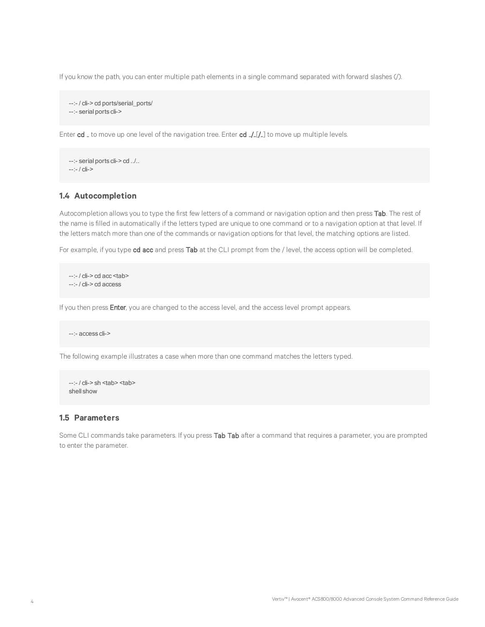If you know the path, you can enter multiple path elements in a single command separated with forward slashes (/).

```
--:- / cli-> cd ports/serial_ports/
--:- serial ports cli->
```
Enter cd .. to move up one level of the navigation tree. Enter cd ../..[/..] to move up multiple levels.

```
--:- serial ports cli-> cd ../..
--:- / cli->
```
## <span id="page-7-0"></span>**1.4 Autocompletion**

Autocompletion allows you to type the first few letters of a command or navigation option and then press Tab. The rest of the name is filled in automatically if the letters typed are unique to one command or to a navigation option at that level. If the letters match more than one of the commands or navigation options for that level, the matching options are listed.

For example, if you type cd acc and press Tab at the CLI prompt from the / level, the access option will be completed.

 $--$ :- $/$  cli- $>$  cd acc  $<$ tab $>$ --:- / cli-> cd access

If you then press Enter, you are changed to the access level, and the access level prompt appears.

--:- access cli->

The following example illustrates a case when more than one command matches the letters typed.

```
--:- / cli-> sh <tab> <tab>
shell show
```
## <span id="page-7-1"></span>**1.5 Parameters**

Some CLI commands take parameters. If you press Tab Tab after a command that requires a parameter, you are prompted to enter the parameter.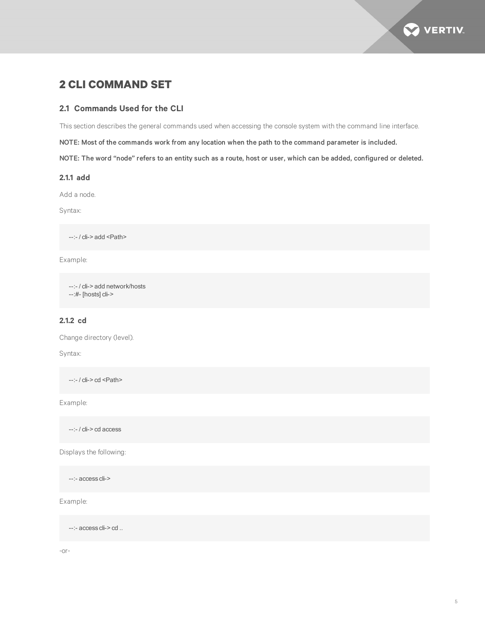

# <span id="page-8-0"></span>**2 CLI COMMAND SET**

## <span id="page-8-1"></span>**2.1 Commands Used for the CLI**

This section describes the general commands used when accessing the console system with the command line interface.

NOTE: Most of the commands work from any location when the path to the command parameter is included.

<span id="page-8-2"></span>NOTE: The word "node" refers to an entity such as a route, host or user, which can be added, configured or deleted.

#### **2.1.1 add**

Add a node.

Syntax:

 $--:$  /  $\text{cli}\text{-}$  add  $\text{~}$   $\text{~}$  add  $\text{~}$ 

Example:

--:- / cli-> add network/hosts --:#- [hosts] cli->

## <span id="page-8-3"></span>**2.1.2 cd**

Change directory (level).

Syntax:

--:- / cli-> cd <Path>

Example:

--:- / cli-> cd access

Displays the following:

--:- access cli->

Example:

--:- access cli-> cd ..

-or-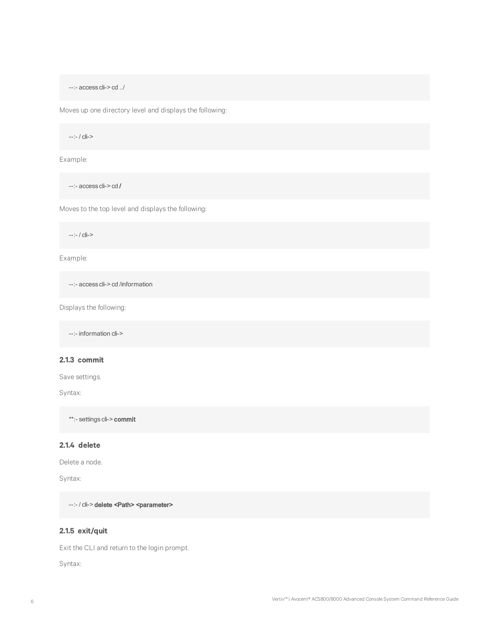--:- access cli-> cd ../

Moves up one directory level and displays the following:

--:- / cli->

Example:

--:- access cli-> cd /

Moves to the top level and displays the following:

--:- / cli->

Example:

--:- access cli-> cd /information

Displays the following:

--:- information cli->

#### <span id="page-9-0"></span>**2.1.3 commit**

Save settings.

Syntax:

\*\*:- settings cli-> commit

## <span id="page-9-1"></span>**2.1.4 delete**

Delete a node.

Syntax:

--:- / cli-> delete <Path> <parameter>

## <span id="page-9-2"></span>**2.1.5 exit/quit**

Exit the CLI and return to the login prompt.

Syntax: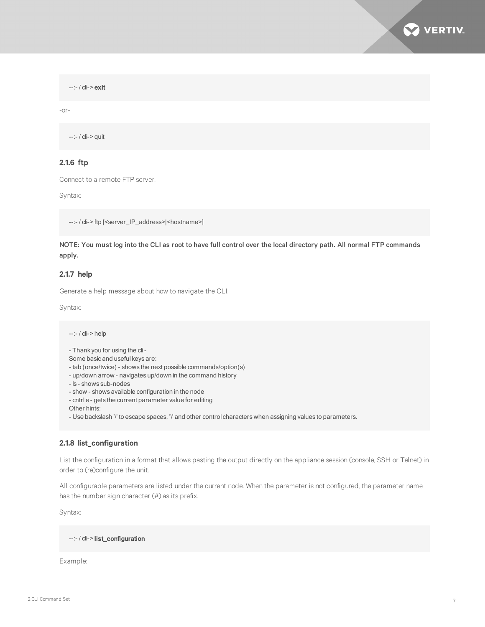

--:- / cli-> **exit** 

-or-

--:- / cli-> quit

## <span id="page-10-0"></span>**2.1.6 ftp**

Connect to a remote FTP server.

Syntax:

--:- / cli-> ftp [<server\_IP\_address>|<hostname>]

NOTE: You must log into the CLI as root to have full control over the local directory path. All normal FTP commands apply.

## <span id="page-10-1"></span>**2.1.7 help**

Generate a help message about how to navigate the CLI.

Syntax:

--:- / cli-> help

- Thank you for using the cli -

Some basic and useful keys are:

- tab (once/twice) shows the next possible commands/option(s)
- up/down arrow navigates up/down in the command history
- ls shows sub-nodes
- show shows available configuration in the node
- cntrl e gets the current parameter value for editing

Other hints:

- Use backslash '\' to escape spaces, '\' and other control characters when assigning values to parameters.

#### <span id="page-10-2"></span>**2.1.8 list\_configuration**

List the configuration in a format that allows pasting the output directly on the appliance session (console, SSH or Telnet) in order to (re)configure the unit.

All configurable parameters are listed under the current node. When the parameter is not configured, the parameter name has the number sign character (#) as its prefix.

Syntax:

--:- / cli-> list\_configuration

Example: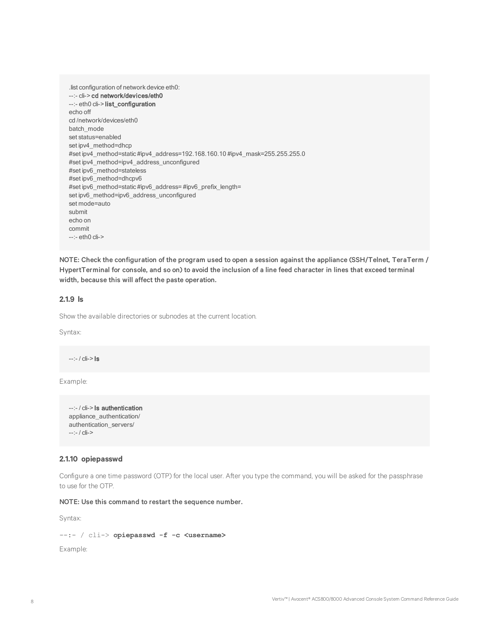.list configuration of network device eth0: --:- cli-> cd network/devices/eth0 --:- eth0 cli-> list\_configuration echo off cd /network/devices/eth0 batch\_mode set status=enabled set ipv4\_method=dhcp #set ipv4\_method=static #ipv4\_address=192.168.160.10 #ipv4\_mask=255.255.255.0 #set ipv4\_method=ipv4\_address\_unconfigured #set ipv6\_method=stateless #set ipv6\_method=dhcpv6 #set ipv6\_method=static #ipv6\_address= #ipv6\_prefix\_length= set ipv6\_method=ipv6\_address\_unconfigured set mode=auto submit echo on commit --:- eth0 cli->

NOTE: Check the configuration of the program used to open a session against the appliance (SSH/Telnet, TeraTerm / HypertTerminal for console, and so on) to avoid the inclusion of a line feed character in lines that exceed terminal width, because this will affect the paste operation.

#### <span id="page-11-0"></span>**2.1.9 ls**

Show the available directories or subnodes at the current location.

Syntax:

--:- / cli-> ls

Example:

```
--:- / cli-> ls authentication
appliance_authentication/
authentication_servers/
--:- / cli->
```
#### <span id="page-11-1"></span>**2.1.10 opiepasswd**

Configure a one time password (OTP) for the local user. After you type the command, you will be asked for the passphrase to use for the OTP.

NOTE: Use this command to restart the sequence number.

Syntax:

--:- / cli-> **opiepasswd -f -c <username>**

Example: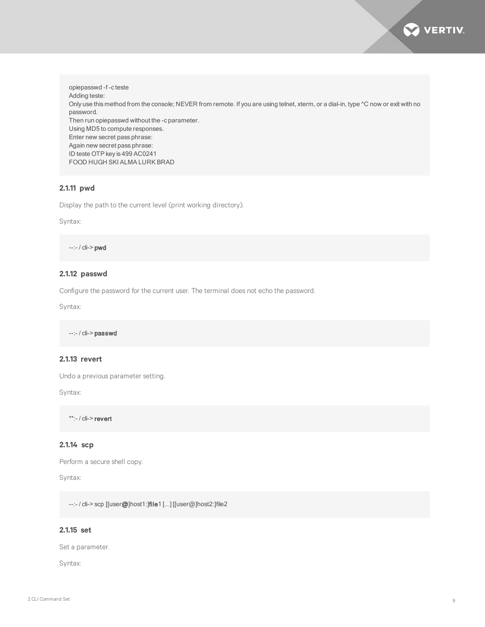

opiepasswd -f -c teste Adding teste: Only use this method from the console; NEVER from remote. If you are using telnet, xterm, or a dial-in, type ^C now or exit with no password. Then run opiepasswd without the -c parameter. Using MD5 to compute responses. Enter new secret pass phrase: Again new secret pass phrase: ID teste OTP key is 499 AC0241 FOOD HUGH SKI ALMA LURK BRAD

### <span id="page-12-0"></span>**2.1.11 pwd**

Display the path to the current level (print working directory).

Syntax:

--:- / cli-> pwd

## <span id="page-12-1"></span>**2.1.12 passwd**

Configure the password for the current user. The terminal does not echo the password.

Syntax:

--:- / cli-> passwd

#### <span id="page-12-2"></span>**2.1.13 revert**

Undo a previous parameter setting.

Syntax:

 $**:$ - / cli-> revert

## <span id="page-12-3"></span>**2.1.14 scp**

Perform a secure shell copy.

Syntax:

--:- / cli-> scp [[user@]host1:]file1 [...] [[user@]host2:]file2

### <span id="page-12-4"></span>**2.1.15 set**

Set a parameter.

Syntax: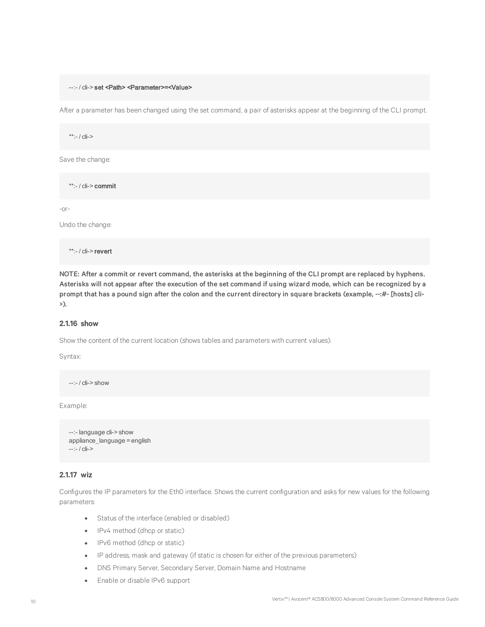--:- / cli-> set <Path> <Parameter>=<Value>

After a parameter has been changed using the set command, a pair of asterisks appear at the beginning of the CLI prompt.

 $***:$  / cli->

Save the change:

\*\*:- / cli-> commit

-or-

Undo the change:

 $**:$  / cli-> revert

NOTE: After a commit or revert command, the asterisks at the beginning of the CLI prompt are replaced by hyphens. Asterisks will not appear after the execution of the set command if using wizard mode, which can be recognized by a prompt that has a pound sign after the colon and the current directory in square brackets (example, --:#- [hosts] cli- >).

## <span id="page-13-0"></span>**2.1.16 show**

Show the content of the current location (shows tables and parameters with current values).

Syntax:

--:- / cli-> show

Example:

```
--:- language cli-> show
appliance_language = english
--:- / cli->
```
## <span id="page-13-1"></span>**2.1.17 wiz**

Configures the IP parameters for the Eth0 interface. Shows the current configuration and asks for new values for the following parameters:

- Status of the interface (enabled or disabled)
- IPv4 method (dhcp or static)
- IPv6 method (dhcp or static)
- IP address, mask and gateway (if static is chosen for either of the previous parameters)
- DNS Primary Server, Secondary Server, Domain Name and Hostname
- Enable or disable IPv6 support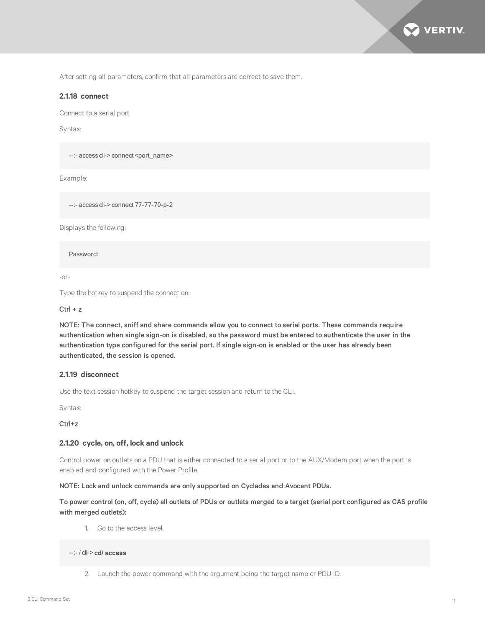

<span id="page-14-0"></span>After setting all parameters, confirm that all parameters are correct to save them.

#### **2.1.18 connect**

Connect to a serial port.

Syntax:

--:- access cli-> connect <port\_name>

Example:

--:- access cli-> connect 77-77-70-p-2

Displays the following:

Password:

 $-0r-$ 

Type the hotkey to suspend the connection:

#### Ctrl + z

NOTE: The connect, sniff and share commands allow you to connect to serial ports. These commands require authentication when single sign-on is disabled, so the password must be entered to authenticate the user in the authentication type configured for the serial port. If single sign-on is enabled or the user has already been authenticated, the session is opened.

## <span id="page-14-1"></span>**2.1.19 disconnect**

Use the text session hotkey to suspend the target session and return to the CLI.

Syntax:

<span id="page-14-2"></span>Ctrl+z

### **2.1.20 cycle, on, off, lock and unlock**

Control power on outlets on a PDU that is either connected to a serial port or to the AUX/Modem port when the port is enabled and configured with the Power Profile.

NOTE: Lock and unlock commands are only supported on Cyclades and Avocent PDUs.

To power control (on, off, cycle) all outlets of PDUs or outlets merged to a target (serial port configured as CAS profile with merged outlets):

1. Go to the access level.

#### --:-/ cli-> cd/ access

2. Launch the power command with the argument being the target name or PDU ID.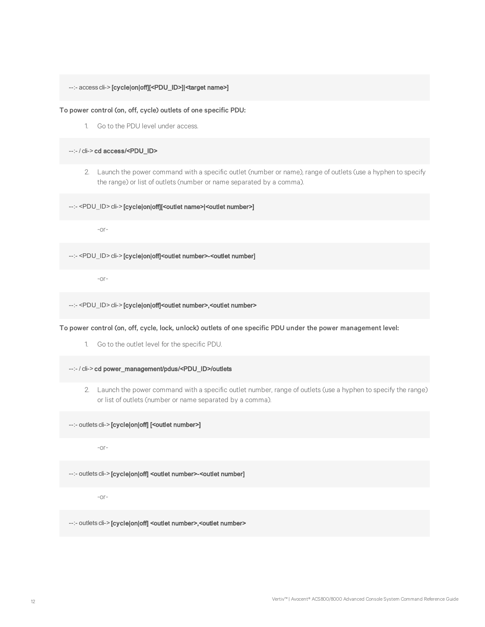## --:- access cli-> [cycle|on|off][<PDU\_ID>]|<target name>]

To power control (on, off, cycle) outlets of one specific PDU:

1. Go to the PDU level under access.

#### --:- / cli-> cd access/<PDU\_ID>

2. Launch the power command with a specific outlet (number or name), range of outlets (use a hyphen to specify the range) or list of outlets (number or name separated by a comma).

--:- <PDU\_ID> cli-> [cycle|on|off][<outlet name>|<outlet number>]

-or-

--:- <PDU\_ID> cli-> [cycle|on|off]<outlet number>-<outlet number]

 $-0r-$ 

--:- <PDU\_ID> cli-> [cycle|on|off]<outlet number>,<outlet number>

To power control (on, off, cycle, lock, unlock) outlets of one specific PDU under the power management level:

1. Go to the outlet level for the specific PDU.

--:- / cli-> cd power\_management/pdus/<PDU\_ID>/outlets

2. Launch the power command with a specific outlet number, range of outlets (use a hyphen to specify the range) or list of outlets (number or name separated by a comma).

--:- outlets cli-> [cycle|on|off] [<outlet number>]

-or-

--:- outlets cli-> [cycle|on|off] <outlet number>-<outlet number]

-or-

--:- outlets cli-> [cycle|on|off] <outlet number>,<outlet number>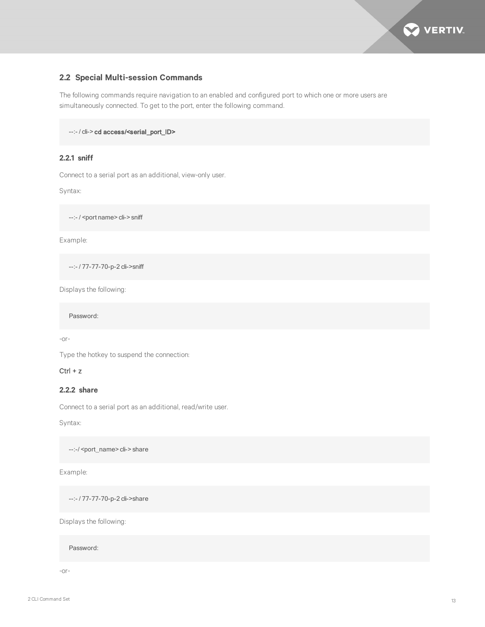

## <span id="page-16-0"></span>**2.2 Special Multi-session Commands**

The following commands require navigation to an enabled and configured port to which one or more users are simultaneously connected. To get to the port, enter the following command.

--:- / cli-> cd access/<serial\_port\_ID>

## <span id="page-16-1"></span>**2.2.1 sniff**

Connect to a serial port as an additional, view-only user.

Syntax:

--:- / <port name> cli-> sniff

Example:

--:- / 77-77-70-p-2 cli->sniff

Displays the following:

Password:

-or-

Type the hotkey to suspend the connection:

## <span id="page-16-2"></span>Ctrl + z

## **2.2.2 share**

Connect to a serial port as an additional, read/write user.

Syntax:

--:-/ <port\_name> cli-> share

Example:

--:- / 77-77-70-p-2 cli->share

Displays the following:

Password:

-or-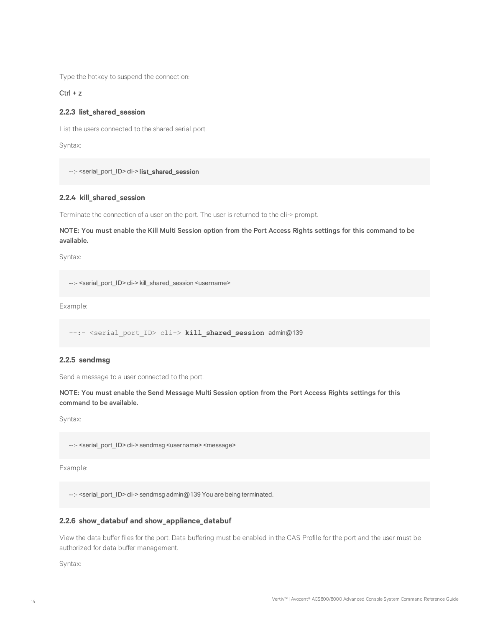Type the hotkey to suspend the connection:

## Ctrl + z

## <span id="page-17-0"></span>**2.2.3 list\_shared\_session**

List the users connected to the shared serial port.

Syntax:

--:- <serial\_port\_ID> cli-> list\_shared\_session

#### <span id="page-17-1"></span>**2.2.4 kill\_shared\_session**

Terminate the connection of a user on the port. The user is returned to the cli-> prompt.

NOTE: You must enable the Kill Multi Session option from the Port Access Rights settings for this command to be available.

Syntax:

--:- <serial\_port\_ID> cli-> kill\_shared\_session <username>

Example:

--:- <serial port ID> cli-> kill shared session admin@139

#### <span id="page-17-2"></span>**2.2.5 sendmsg**

Send a message to a user connected to the port.

NOTE: You must enable the Send Message Multi Session option from the Port Access Rights settings for this command to be available.

Syntax:

--:- <serial\_port\_ID> cli-> sendmsg <username> <message>

Example:

--:- <serial\_port\_ID> cli-> sendmsg admin@139 You are being terminated.

### <span id="page-17-3"></span>**2.2.6 show\_databuf and show\_appliance\_databuf**

View the data buffer files for the port. Data buffering must be enabled in the CAS Profile for the port and the user must be authorized for data buffer management.

Syntax: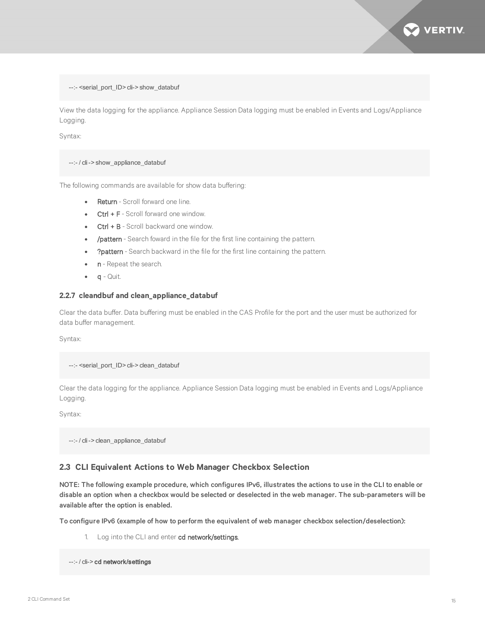

--:- <serial\_port\_ID> cli-> show\_databuf

View the data logging for the appliance. Appliance Session Data logging must be enabled in Events and Logs/Appliance Logging.

Syntax:

--:- / cli -> show\_appliance\_databuf

The following commands are available for show data buffering:

- Return Scroll forward one line.
- Ctrl + F Scroll forward one window.
- Ctrl + B Scroll backward one window.
- /pattern Search foward in the file for the first line containing the pattern.
- ? pattern Search backward in the file for the first line containing the pattern.
- n Repeat the search.
- q Quit.

### <span id="page-18-0"></span>**2.2.7 cleandbuf and clean\_appliance\_databuf**

Clear the data buffer. Data buffering must be enabled in the CAS Profile for the port and the user must be authorized for data buffer management.

Syntax:

#### --:- <serial\_port\_ID> cli-> clean\_databuf

Clear the data logging for the appliance. Appliance Session Data logging must be enabled in Events and Logs/Appliance Logging.

Syntax:

--:- / cli -> clean\_appliance\_databuf

#### <span id="page-18-1"></span>**2.3 CLI Equivalent Actions to Web Manager Checkbox Selection**

NOTE: The following example procedure, which configures IPv6, illustrates the actions to use in the CLI to enable or disable an option when a checkbox would be selected or deselected in the web manager. The sub-parameters will be available after the option is enabled.

To configure IPv6 (example of how to perform the equivalent of web manager checkbox selection/deselection):

1. Log into the CLI and enter cd network/settings.

--:- / cli-> cd network/settings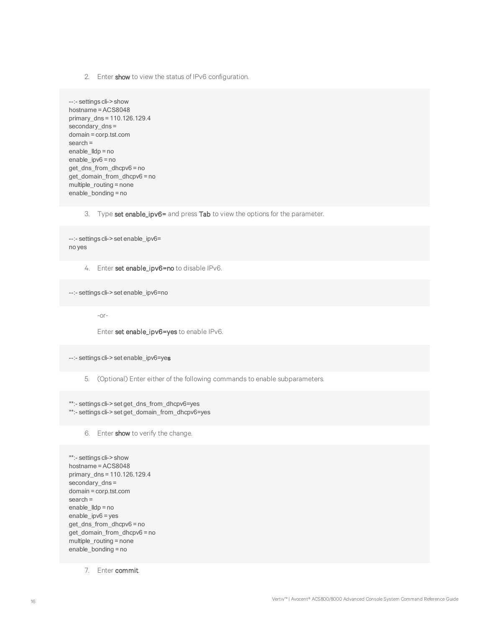2. Enter show to view the status of IPv6 configuration.

--:- settings cli-> show hostname = ACS8048 primary\_dns = 110.126.129.4 secondary\_dns = domain = corp.tst.com search = enable\_lldp = no enable\_ipv6 = no get\_dns\_from\_dhcpv6 = no get\_domain\_from\_dhcpv6 = no multiple\_routing = none enable\_bonding = no

3. Type set enable\_ipv6= and press Tab to view the options for the parameter.

--:- settings cli-> set enable\_ipv6= no yes

4. Enter set enable\_ipv6=no to disable IPv6.

--:- settings cli-> set enable\_ipv6=no

-or-

Enter set enable\_ipv6=yes to enable IPv6.

--:- settings cli-> set enable\_ipv6=yes

5. (Optional) Enter either of the following commands to enable subparameters.

\*\*:- settings cli-> set get\_dns\_from\_dhcpv6=yes \*\*:- settings cli-> set get\_domain\_from\_dhcpv6=yes

6. Enter show to verify the change.

\*\*:- settings cli-> show hostname = ACS8048 primary\_dns = 110.126.129.4 secondary dns = domain = corp.tst.com search = enable\_lldp = no enable  $ipv6 = yes$ get dns from  $dhcpv6 = no$ get domain from dhcpv6 = no multiple\_routing = none enable\_bonding = no

7. Enter commit.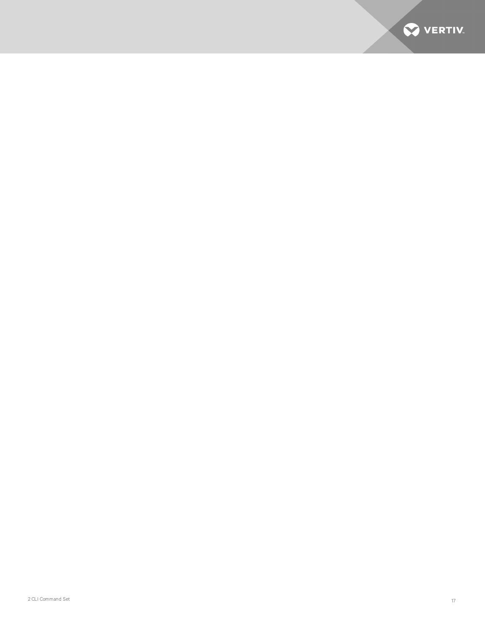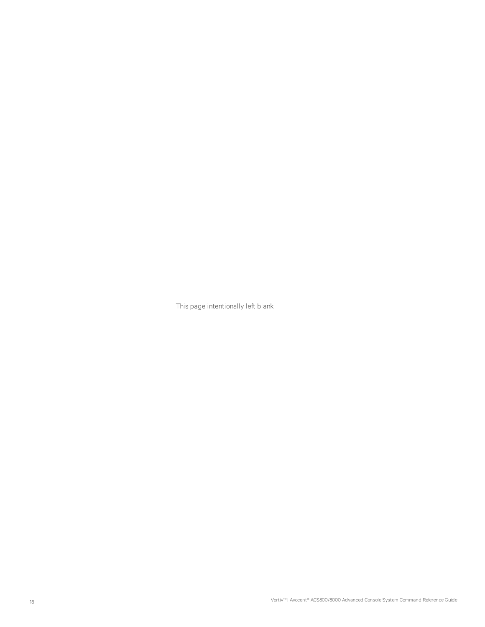This page intentionally left blank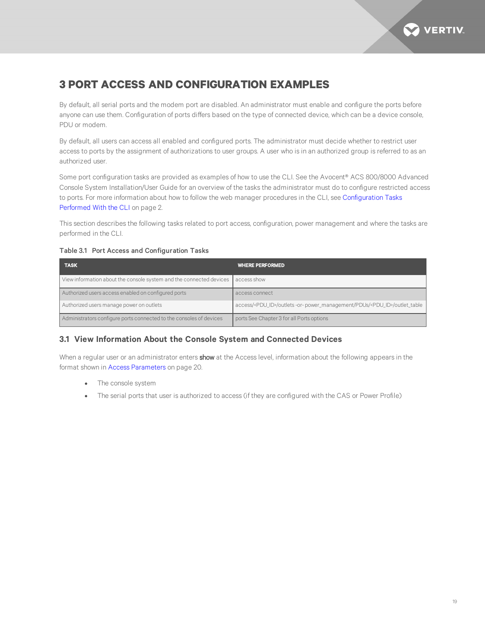

# <span id="page-22-0"></span>**3 PORT ACCESS AND CONFIGURATION EXAMPLES**

By default, all serial ports and the modem port are disabled. An administrator must enable and configure the ports before anyone can use them. Configuration of ports differs based on the type of connected device, which can be a device console, PDU or modem.

By default, all users can access all enabled and configured ports. The administrator must decide whether to restrict user access to ports by the assignment of authorizations to user groups. A user who is in an authorized group is referred to as an authorized user.

Some port configuration tasks are provided as examples of how to use the CLI. See the Avocent® ACS 800/8000 Advanced Console System Installation/User Guide for an overview of the tasks the administrator must do to configure restricted access to ports. For more information about how to follow the web manager procedures in the CLI, see [Configuration Tasks](#page-5-0) [Performed With the CLI](#page-5-0) on page 2.

This section describes the following tasks related to port access, configuration, power management and where the tasks are performed in the CLI.

#### Table 3.1 Port Access and Configuration Tasks

| <b>TASK</b>                                                         | <b>WHERE PERFORMED</b>                                                                    |
|---------------------------------------------------------------------|-------------------------------------------------------------------------------------------|
| View information about the console system and the connected devices | access show                                                                               |
| Authorized users access enabled on configured ports                 | access connect                                                                            |
| Authorized users manage power on outlets                            | access/ <pdu_id>/outlets-or-power_management/PDUs/<pdu_id>/outlet_table</pdu_id></pdu_id> |
| Administrators configure ports connected to the consoles of devices | ports See Chapter 3 for all Ports options                                                 |

## <span id="page-22-1"></span>**3.1 View Information About the Console System and Connected Devices**

When a regular user or an administrator enters show at the Access level, information about the following appears in the format shown in [Access Parameters](#page-23-0) on page 20.

- The console system
- The serial ports that user is authorized to access (if they are configured with the CAS or Power Profile)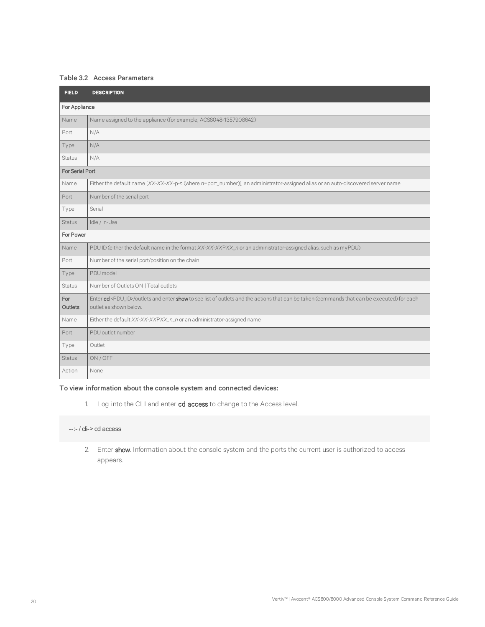#### <span id="page-23-0"></span>Table 3.2 Access Parameters

| <b>FIELD</b>    | <b>DESCRIPTION</b>                                                                                                                                                             |
|-----------------|--------------------------------------------------------------------------------------------------------------------------------------------------------------------------------|
| For Appliance   |                                                                                                                                                                                |
| Name            | Name assigned to the appliance (for example, ACS8048-1357908642)                                                                                                               |
| Port            | N/A                                                                                                                                                                            |
| Type            | N/A                                                                                                                                                                            |
| <b>Status</b>   | N/A                                                                                                                                                                            |
| For Serial Port |                                                                                                                                                                                |
| Name            | Either the default name [XX-XX-XX-p-n (where n=port_number)], an administrator-assigned alias or an auto-discovered server name                                                |
| Port            | Number of the serial port                                                                                                                                                      |
| Type            | Serial                                                                                                                                                                         |
| <b>Status</b>   | Idle / In-Use                                                                                                                                                                  |
| For Power       |                                                                                                                                                                                |
| Name            | PDU ID (either the default name in the format XX-XX-XXPXX_n or an administrator-assigned alias, such as myPDU)                                                                 |
| Port            | Number of the serial port/position on the chain                                                                                                                                |
| Type            | PDU model                                                                                                                                                                      |
| Status          | Number of Outlets ON   Total outlets                                                                                                                                           |
| For<br>Outlets  | Enter cd <pdu_id>/outlets and enter show to see list of outlets and the actions that can be taken (commands that can be executed) for each<br/>outlet as shown below.</pdu_id> |
| Name            | Either the default XX-XX-XXPXX_n_n or an administrator-assigned name                                                                                                           |
| Port            | PDU outlet number                                                                                                                                                              |
| Type            | Outlet                                                                                                                                                                         |
| <b>Status</b>   | ON/OFF                                                                                                                                                                         |
| Action          | None                                                                                                                                                                           |

## To view information about the console system and connected devices:

1. Log into the CLI and enter cd access to change to the Access level.

#### --:- / cli-> cd access

2. Enter show. Information about the console system and the ports the current user is authorized to access appears.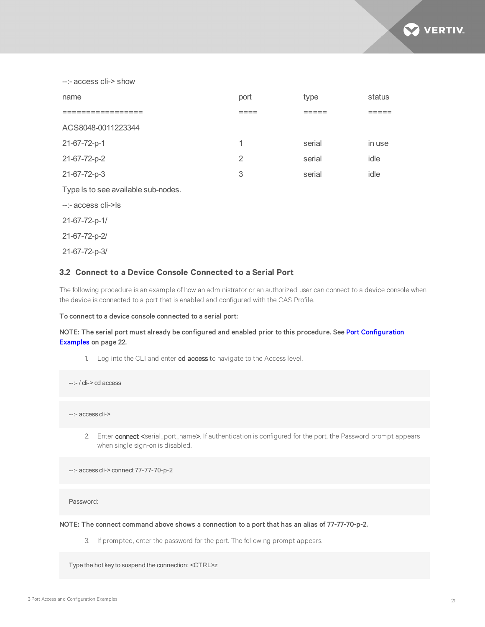

--:- access cli-> show

| name                                | port | type   | status |  |
|-------------------------------------|------|--------|--------|--|
|                                     |      |        |        |  |
| ACS8048-0011223344                  |      |        |        |  |
| 21-67-72-p-1                        | 1    | serial | in use |  |
| 21-67-72-p-2                        | 2    | serial | idle   |  |
| 21-67-72-p-3                        | 3    | serial | idle   |  |
| Type Is to see available sub-nodes. |      |        |        |  |
| $-$ :- access cli->ls               |      |        |        |  |

21-67-72-p-1/

21-67-72-p-2/

<span id="page-24-0"></span>21-67-72-p-3/

## **3.2 Connect to a Device Console Connected to a Serial Port**

The following procedure is an example of how an administrator or an authorized user can connect to a device console when the device is connected to a port that is enabled and configured with the CAS Profile.

#### To connect to a device console connected to a serial port:

## NOTE: The serial port must already be configured and enabled prior to this procedure. See [Port Configuration](#page-25-2) Examples [on page 22](#page-25-2).

1. Log into the CLI and enter cd access to navigate to the Access level.

--:- / cli-> cd access --:- access cli-> 2. Enter connect **<sup>&</sup>lt;**serial\_port\_name**<sup>&</sup>gt;**. If authentication is configured for the port, the Password prompt appears when single sign-on is disabled. --:- access cli-> connect 77-77-70-p-2

Password:

#### NOTE: The connect command above shows a connection to a port that has an alias of 77-77-70-p-2.

3. If prompted, enter the password for the port. The following prompt appears.

Type the hot key to suspend the connection: <CTRL>z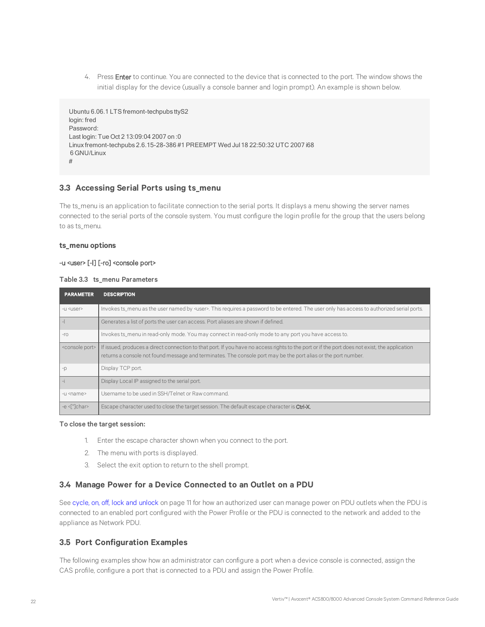4. Press Enter to continue. You are connected to the device that is connected to the port. The window shows the initial display for the device (usually a console banner and login prompt). An example is shown below.

```
Ubuntu 6.06.1 LTS fremont-techpubs ttyS2
login: fred
Password:
Last login: Tue Oct 2 13:09:04 2007 on :0
Linux fremont-techpubs 2.6.15-28-386 #1 PREEMPT Wed Jul 18 22:50:32 UTC 2007 i68
6 GNU/Linux
#
```
## <span id="page-25-0"></span>**3.3 Accessing Serial Ports using ts\_menu**

The ts\_menu is an application to facilitate connection to the serial ports. It displays a menu showing the server names connected to the serial ports of the console system. You must configure the login profile for the group that the users belong to as ts\_menu.

#### **ts\_menu options**

#### -u <user> [-l] [-ro] <console port>

#### Table 3.3 ts\_menu Parameters

| <b>PARAMETER</b>                          | <b>DESCRIPTION</b>                                                                                                                                                                                                                                              |
|-------------------------------------------|-----------------------------------------------------------------------------------------------------------------------------------------------------------------------------------------------------------------------------------------------------------------|
| -u <user></user>                          | Invokes ts menu as the user named by <user>. This requires a password to be entered. The user only has access to authorized serial ports.</user>                                                                                                                |
|                                           | Generates a list of ports the user can access. Port aliases are shown if defined.                                                                                                                                                                               |
| $-TO$                                     | Invokes ts_menu in read-only mode. You may connect in read-only mode to any port you have access to.                                                                                                                                                            |
| <console port=""></console>               | If issued, produces a direct connection to that port. If you have no access rights to the port or if the port does not exist, the application<br>returns a console not found message and terminates. The console port may be the port alias or the port number. |
| -p                                        | Display TCP port.                                                                                                                                                                                                                                               |
|                                           | Display Local IP assigned to the serial port.                                                                                                                                                                                                                   |
| -u <name></name>                          | Username to be used in SSH/Telnet or Raw command.                                                                                                                                                                                                               |
| $-e <$ <sup><math>\sim</math></sup> char> | Escape character used to close the target session. The default escape character is Ctrl-X.                                                                                                                                                                      |

#### To close the target session:

- 1. Enter the escape character shown when you connect to the port.
- 2. The menu with ports is displayed.
- 3. Select the exit option to return to the shell prompt.

## <span id="page-25-1"></span>**3.4 Manage Power for a Device Connected to an Outlet on a PDU**

See [cycle, on, off, lock and unlock](#page-14-2) on page 11 for how an authorized user can manage power on PDU outlets when the PDU is connected to an enabled port configured with the Power Profile or the PDU is connected to the network and added to the appliance as Network PDU.

## <span id="page-25-2"></span>**3.5 Port Configuration Examples**

The following examples show how an administrator can configure a port when a device console is connected, assign the CAS profile, configure a port that is connected to a PDU and assign the Power Profile.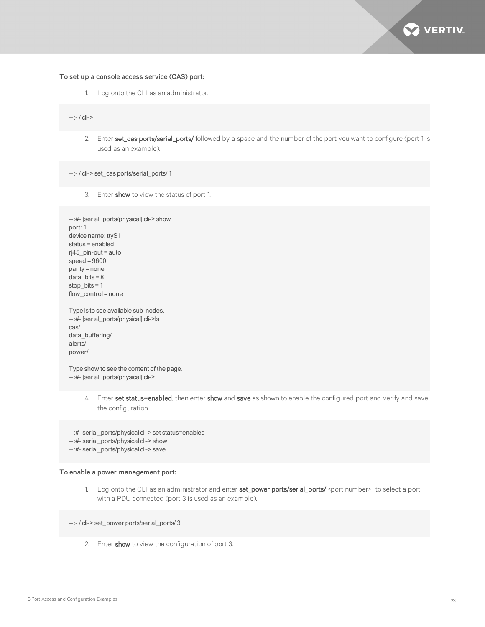

#### To set up a console access service (CAS) port:

1. Log onto the CLI as an administrator.

--:- / cli->

2. Enter set\_cas ports/serial\_ports/ followed by a space and the number of the port you want to configure (port 1 is used as an example).

--:- / cli-> set\_cas ports/serial\_ports/ 1

3. Enter show to view the status of port 1.

```
--:#- [serial_ports/physical] cli-> show
port: 1
device name: ttyS1
status = enabled
rj45_pin-out = auto
speed = 9600
parity = none
data_bits = 8
stop bits = 1flow_control = none
Type ls to see available sub-nodes.
```

```
--:#- [serial_ports/physical] cli->ls
cas/
data_buffering/
alerts/
power/
```
Type show to see the content of the page. --:#- [serial\_ports/physical] cli->

> 4. Enter set status=enabled, then enter show and save as shown to enable the configured port and verify and save the configuration.

--: #- serial\_ports/physical cli-> set status=enabled

- --: #- serial\_ports/physical cli-> show
- --: #- serial\_ports/physical cli-> save

#### To enable a power management port:

1. Log onto the CLI as an administrator and enter set\_power ports/serial\_ports/ <port number> to select a port with a PDU connected (port 3 is used as an example).

--:- / cli-> set\_power ports/serial\_ports/ 3

2. Enter show to view the configuration of port 3.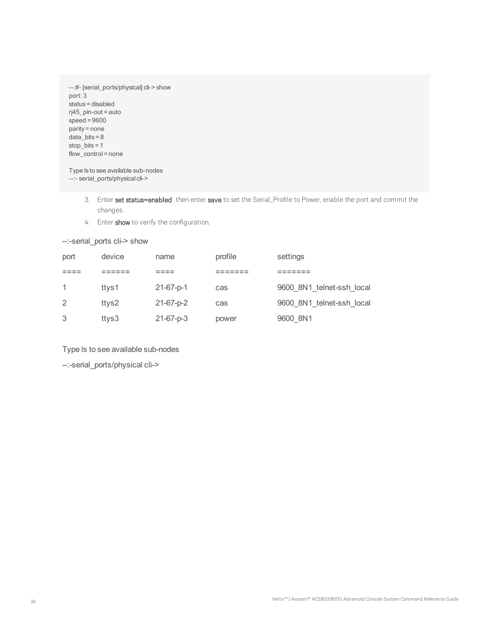```
--:#- [serial_ports/physical] cli-> show
port: 3
status = disabled
rj45_pin-out = auto
speed = 9600
parity = none
data_bits = 8stop_bits = 1
flow_control = none
```
Type ls to see available sub-nodes --:- serial\_ports/physical cli->

- 3. Enter set status=enabled then enter save to set the Serial\_Profile to Power, enable the port and commit the changes.
- 4. Enter show to verify the configuration.

--:-serial\_ports cli-> show

| port | device | name        | profile | settings                  |
|------|--------|-------------|---------|---------------------------|
|      |        |             |         |                           |
| -1   | ttys1  | $21-67-p-1$ | cas     | 9600 8N1 telnet-ssh local |
| 2    | ttys2  | $21-67-p-2$ | cas     | 9600 8N1 telnet-ssh local |
| 3    | ttys3  | $21-67-p-3$ | power   | 9600 8N1                  |

Type ls to see available sub-nodes

--:-serial\_ports/physical cli->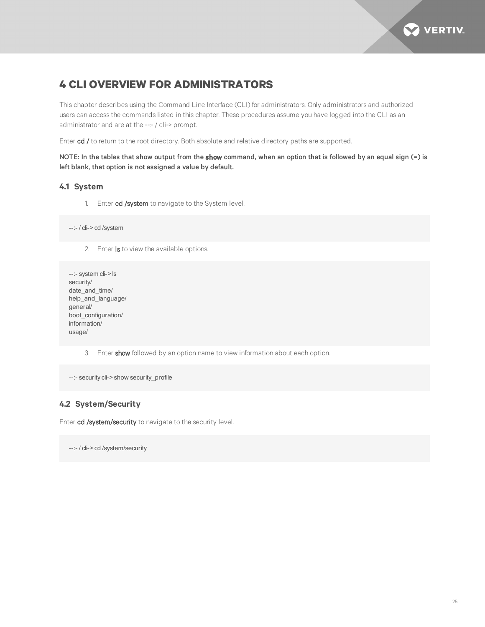

# <span id="page-28-0"></span>**4 CLI OVERVIEW FOR ADMINISTRATORS**

This chapter describes using the Command Line Interface (CLI) for administrators. Only administrators and authorized users can access the commands listed in this chapter. These procedures assume you have logged into the CLI as an administrator and are at the --:- / cli-> prompt.

Enter cd / to return to the root directory. Both absolute and relative directory paths are supported.

NOTE: In the tables that show output from the show command, when an option that is followed by an equal sign (=) is left blank, that option is not assigned a value by default.

## <span id="page-28-1"></span>**4.1 System**

1. Enter cd /system to navigate to the System level.

--:- / cli-> cd /system

- 2. Enter **ls** to view the available options.
- --:- system cli-> ls security/ date and time/ help\_and\_language/ general/ boot\_configuration/ information/ usage/
	- 3. Enter show followed by an option name to view information about each option.
- --:- security cli-> show security\_profile

## <span id="page-28-2"></span>**4.2 System/Security**

Enter cd /system/security to navigate to the security level.

--:- / cli-> cd /system/security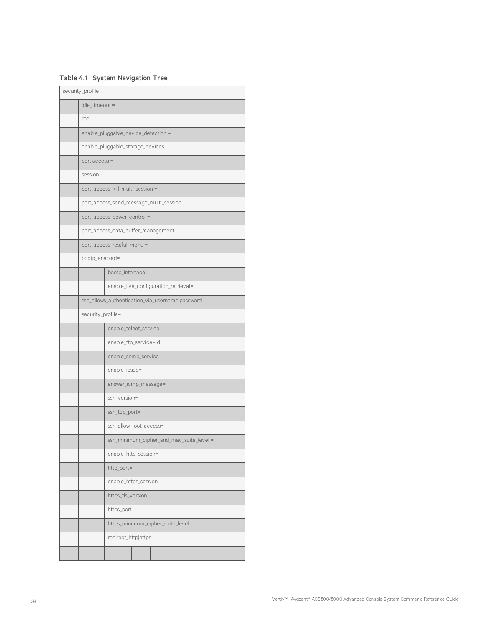## Table 4.1 System Navigation Tree

| security_profile |                                                   |                                          |  |  |  |
|------------------|---------------------------------------------------|------------------------------------------|--|--|--|
|                  | idle_timeout =                                    |                                          |  |  |  |
|                  | $rpc =$                                           |                                          |  |  |  |
|                  | enable_pluggable_device_detection =               |                                          |  |  |  |
|                  |                                                   | enable_pluggable_storage_devices =       |  |  |  |
|                  | port access =                                     |                                          |  |  |  |
|                  | $session =$                                       |                                          |  |  |  |
|                  |                                                   | port_access_kill_multi_session =         |  |  |  |
|                  |                                                   | port_access_send_message_multi_session = |  |  |  |
|                  |                                                   | port_access_power_control =              |  |  |  |
|                  |                                                   | port_access_data_buffer_management =     |  |  |  |
|                  |                                                   | port_access_restful_menu =               |  |  |  |
|                  | bootp_enabled=                                    |                                          |  |  |  |
|                  |                                                   | bootp_interface=                         |  |  |  |
|                  |                                                   | enable_live_configuration_retrieval=     |  |  |  |
|                  | ssh_allows_authentication_via_usernamelpassword = |                                          |  |  |  |
|                  | security_profile=                                 |                                          |  |  |  |
|                  |                                                   | enable_telnet_service=                   |  |  |  |
|                  |                                                   | enable_ftp_service= d                    |  |  |  |
|                  |                                                   | enable_snmp_service=                     |  |  |  |
|                  |                                                   | enable_ipsec=                            |  |  |  |
|                  |                                                   | answer_icmp_message=                     |  |  |  |
|                  |                                                   | ssh_version=                             |  |  |  |
|                  |                                                   | ssh_tcp_port=                            |  |  |  |
|                  |                                                   | ssh_allow_root_access=                   |  |  |  |
|                  |                                                   | ssh_minimum_cipher_and_mac_suite_level = |  |  |  |
|                  |                                                   | enable_http_session=                     |  |  |  |
|                  |                                                   | http_port=                               |  |  |  |
|                  |                                                   | enable_https_session                     |  |  |  |
|                  |                                                   | https_tls_version=                       |  |  |  |
|                  |                                                   | https_port=                              |  |  |  |
|                  |                                                   | https_minimum_cipher_suite_level=        |  |  |  |
|                  |                                                   | redirect_http https=                     |  |  |  |
|                  |                                                   |                                          |  |  |  |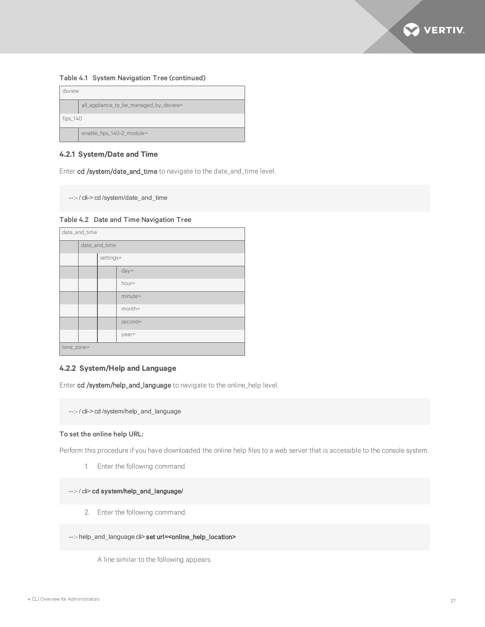

## Table 4.1 System Navigation Tree (continued)

| dsview     |                                        |  |
|------------|----------------------------------------|--|
|            | all_appliance_to_be_managed_by_dsview= |  |
| $fips_140$ |                                        |  |
|            | enable_fips_140-2_module=              |  |

## <span id="page-30-0"></span>**4.2.1 System/Date and Time**

Enter cd /system/date\_and\_time to navigate to the date\_and\_time level.

--:- / cli-> cd /system/date\_and\_time

#### Table 4.2 Date and Time Navigation Tree

| date_and_time |               |  |            |  |  |
|---------------|---------------|--|------------|--|--|
|               | date_and_time |  |            |  |  |
|               |               |  | settings=  |  |  |
|               |               |  | $day =$    |  |  |
|               |               |  | hour=      |  |  |
|               |               |  | $minute =$ |  |  |
|               |               |  | month=     |  |  |
|               |               |  | second=    |  |  |
|               |               |  | year=      |  |  |
| time_zone=    |               |  |            |  |  |

## <span id="page-30-1"></span>**4.2.2 System/Help and Language**

Enter cd /system/help\_and\_language to navigate to the online\_help level.

--:- / cli-> cd /system/help\_and\_language

#### To set the online help URL:

Perform this procedure if you have downloaded the online help files to a web server that is accessible to the console system.

1. Enter the following command.

#### --:- / cli> cd system/help\_and\_language/

- 2. Enter the following command.
- --:- help\_and\_language cli> set url=<online\_help\_location>

A line similar to the following appears.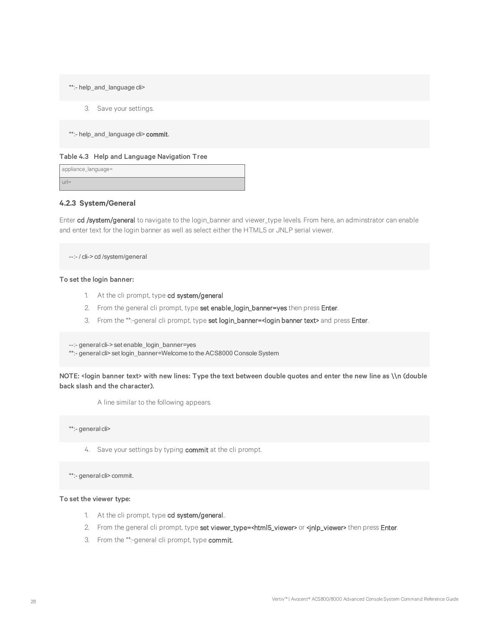#### \*\*:- help\_and\_language cli>

3. Save your settings.

\*\*:- help\_and\_language cli> commit.

#### Table 4.3 Help and Language Navigation Tree

appliance\_language= url=

#### <span id="page-31-0"></span>**4.2.3 System/General**

Enter cd /system/general to navigate to the login\_banner and viewer\_type levels. From here, an adminstrator can enable and enter text for the login banner as well as select either the HTML5 or JNLP serial viewer.

--:- / cli-> cd /system/general

#### To set the login banner:

- 1. At the cli prompt, type cd system/general
- 2. From the general cli prompt, type set enable\_login\_banner=yes then press Enter.
- 3. From the \*\*:-general cli prompt, type set login\_banner=<login banner text> and press Enter.

--:- general cli-> set enable\_login\_banner=yes

\*\*:- general cli> set login\_banner=Welcome to the ACS8000 Console System

NOTE: < login banner text> with new lines: Type the text between double quotes and enter the new line as \\n (double back slash and the character).

A line similar to the following appears.

\*\*:- general cli>

4. Save your settings by typing commit at the cli prompt.

\*\*:- general cli> commit.

#### To set the viewer type:

- 1. At the cli prompt, type cd system/general..
- 2. From the general cli prompt, type set viewer\_type=<html5\_viewer> or <jnlp\_viewer> then press Enter.
- 3. From the \*\*:-general cli prompt, type commit.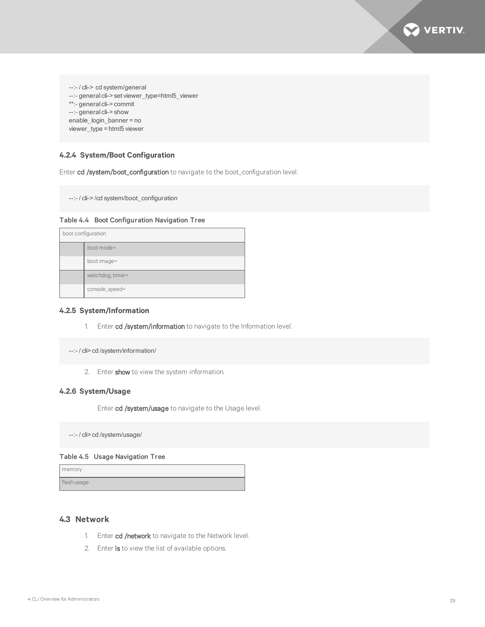

--:- / cli-> cd system/general --:- general cli-> set viewer\_type=html5\_viewer \*\*:- general cli-> commit --:- general cli-> show enable\_login\_banner = no viewer\_type = html5 viewer

## <span id="page-32-0"></span>**4.2.4 System/Boot Configuration**

Enter cd /system/boot\_configuration to navigate to the boot\_configuration level.

--:- / cli-> /cd system/boot\_configuration

#### Table 4.4 Boot Configuration Navigation Tree

| boot configuration |                 |  |  |
|--------------------|-----------------|--|--|
|                    | boot mode=      |  |  |
|                    | boot image=     |  |  |
|                    | watchdog_timer= |  |  |
|                    | console_speed=  |  |  |

#### <span id="page-32-1"></span>**4.2.5 System/Information**

- 1. Enter cd /system/information to navigate to the Information level.
- --:- / cli> cd /system/information/
	- 2. Enter show to view the system information.

## <span id="page-32-2"></span>**4.2.6 System/Usage**

Enter cd /system/usage to navigate to the Usage level.

--:- / cli> cd /system/usage/

## Table 4.5 Usage Navigation Tree

memory

flash usage

## <span id="page-32-3"></span>**4.3 Network**

- 1. Enter cd /network to navigate to the Network level.
- 2. Enter **s** to view the list of available options.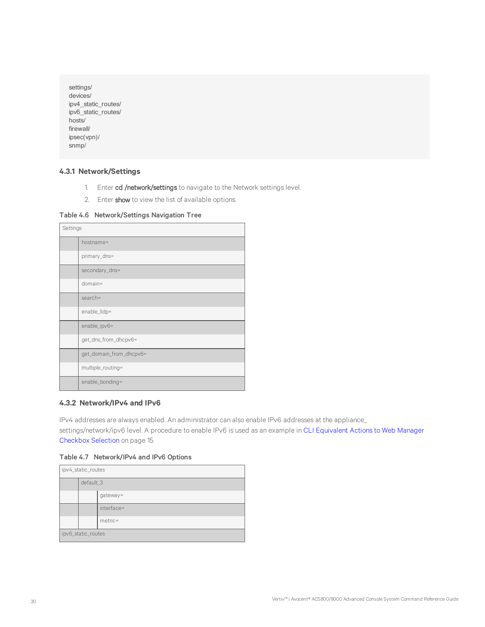```
settings/
devices/
ipv4_static_routes/
ipv6_static_routes/
hosts/
firewall/
ipsec(vpn)/
snmp/
```
## <span id="page-33-0"></span>**4.3.1 Network/Settings**

- 1. Enter cd /network/settings to navigate to the Network settings level.
- 2. Enter show to view the list of available options.

Table 4.6 Network/Settings Navigation Tree

| Settings |                         |  |
|----------|-------------------------|--|
|          | hostname=               |  |
|          | primary_dns=            |  |
|          | secondary_dns=          |  |
|          | domain=                 |  |
|          | search=                 |  |
|          | enable_lldp=            |  |
|          | enable_ipv6=            |  |
|          | get_dns_from_dhcpv6=    |  |
|          | get_domain_from_dhcpv6= |  |
|          | multiple_routing=       |  |
|          | enable_bonding=         |  |

## <span id="page-33-1"></span>**4.3.2 Network/IPv4 and IPv6**

IPv4 addresses are always enabled. An administrator can also enable IPv6 addresses at the appliance\_

settings/network/ipv6 level. A procedure to enable IPv6 is used as an example in [CLI Equivalent Actions to Web Manager](#page-18-1) [Checkbox Selection](#page-18-1) on page 15.

Table 4.7 Network/IPv4 and IPv6 Options

| ipv4_static_routes |           |            |  |  |
|--------------------|-----------|------------|--|--|
|                    | default_3 |            |  |  |
|                    |           | gateway=   |  |  |
|                    |           | interface= |  |  |
|                    |           | $metric =$ |  |  |
| ipv6_static_routes |           |            |  |  |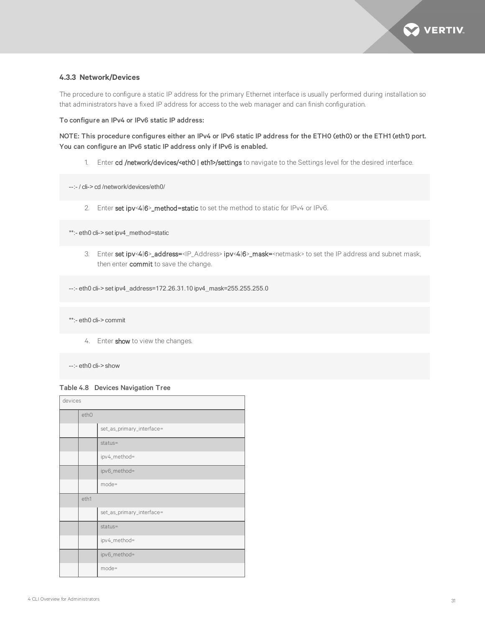

### <span id="page-34-0"></span>**4.3.3 Network/Devices**

The procedure to configure a static IP address for the primary Ethernet interface is usually performed during installation so that administrators have a fixed IP address for access to the web manager and can finish configuration.

To configure an IPv4 or IPv6 static IP address:

NOTE: This procedure configures either an IPv4 or IPv6 static IP address for the ETH0 (eth0) or the ETH1 (eth1) port. You can configure an IPv6 static IP address only if IPv6 is enabled.

1. Enter cd /network/devices/<eth0 | eth1>/settings to navigate to the Settings level for the desired interface.

--:- / cli-> cd /network/devices/eth0/

2. Enter set ipv<4|6>\_method=static to set the method to static for IPv4 or IPv6.

\*\*:- eth0 cli-> set ipv4\_method=static

3. Enter set ipv<4|6>\_address=<IP\_Address> ipv<4|6>\_mask=<netmask> to set the IP address and subnet mask, then enter **commit** to save the change.

--:- eth0 cli-> set ipv4\_address=172.26.31.10 ipv4\_mask=255.255.255.0

\*\*:- eth0 cli-> commit

4. Enter show to view the changes.

--:- eth0 cli-> show

## Table 4.8 Devices Navigation Tree

| devices |                           |  |  |
|---------|---------------------------|--|--|
| ethO    |                           |  |  |
|         | set_as_primary_interface= |  |  |
|         | status=                   |  |  |
|         | ipv4_method=              |  |  |
|         | ipv6_method=              |  |  |
|         | $mode=$                   |  |  |
| eth1    |                           |  |  |
|         | set_as_primary_interface= |  |  |
|         | status=                   |  |  |
|         | ipv4_method=              |  |  |
|         | ipv6_method=              |  |  |
|         | $mode=$                   |  |  |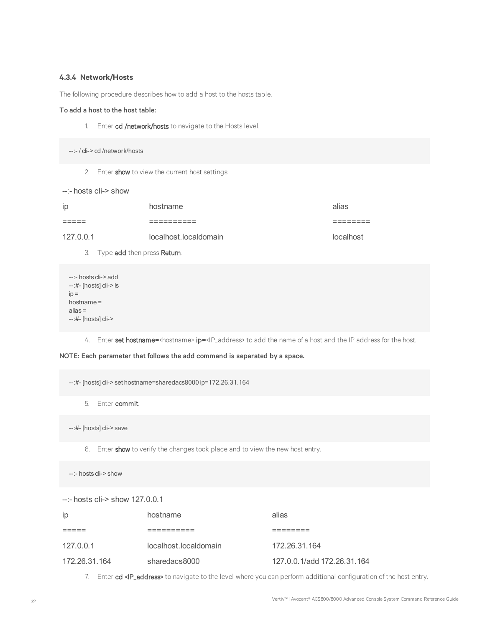### <span id="page-35-0"></span>**4.3.4 Network/Hosts**

The following procedure describes how to add a host to the hosts table.

#### To add a host to the host table:

1. Enter cd /network/hosts to navigate to the Hosts level.

--:- / cli-> cd /network/hosts

2. Enter show to view the current host settings.

--:- hosts cli-> show

| ip        | hostname              | alias     |
|-----------|-----------------------|-----------|
|           |                       |           |
| 127.0.0.1 | localhost.localdomain | localhost |

3. Type add then press Return.

```
--:- hosts cli-> add
--:#- [hosts] cli-> ls
ip =hostname =
alias =
--:#- [hosts] cli->
```
4. Enter set hostname=<hostname> ip=<IP\_address> to add the name of a host and the IP address for the host.

NOTE: Each parameter that follows the add command is separated by a space.

--:#- [hosts] cli-> set hostname=sharedacs8000 ip=172.26.31.164

5. Enter commit.

--:#- [hosts] cli-> save

6. Enter show to verify the changes took place and to view the new host entry.

```
--:- hosts cli-> show
```
--:- hosts cli-> show 127.0.0.1

| ip            | hostname              | alias                       |
|---------------|-----------------------|-----------------------------|
|               |                       |                             |
| 127.0.0.1     | localhost.localdomain | 172.26.31.164               |
| 172.26.31.164 | sharedacs8000         | 127.0.0.1/add 172.26.31.164 |

7. Enter cd <IP\_address> to navigate to the level where you can perform additional configuration of the host entry.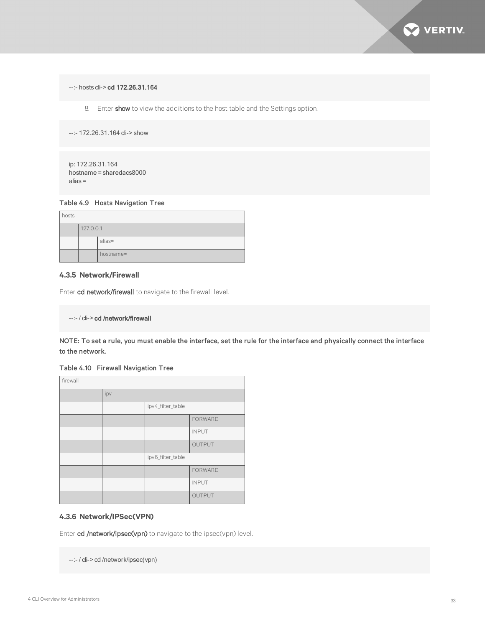

#### --:- hosts cli-> cd 172.26.31.164

8. Enter show to view the additions to the host table and the Settings option.

--:- 172.26.31.164 cli-> show

ip: 172.26.31.164 hostname = sharedacs8000 alias =

#### Table 4.9 Hosts Navigation Tree

| hosts |           |           |
|-------|-----------|-----------|
|       | 127.0.0.1 |           |
|       |           | alias=    |
|       |           | hostname= |

## <span id="page-36-0"></span>**4.3.5 Network/Firewall**

Enter cd network/firewall to navigate to the firewall level.

#### --:- / cli-> cd /network/firewall

NOTE: To set a rule, you must enable the interface, set the rule for the interface and physically connect the interface to the network.

#### Table 4.10 Firewall Navigation Tree

| firewall |     |                   |                |
|----------|-----|-------------------|----------------|
|          | ipv |                   |                |
|          |     | ipv4_filter_table |                |
|          |     |                   | <b>FORWARD</b> |
|          |     |                   | <b>INPUT</b>   |
|          |     |                   | OUTPUT         |
|          |     | ipv6_filter_table |                |
|          |     |                   | <b>FORWARD</b> |
|          |     |                   | <b>INPUT</b>   |
|          |     |                   | OUTPUT         |

#### <span id="page-36-1"></span>**4.3.6 Network/IPSec(VPN)**

Enter cd /network/ipsec(vpn) to navigate to the ipsec(vpn) level.

--:- / cli-> cd /network/ipsec(vpn)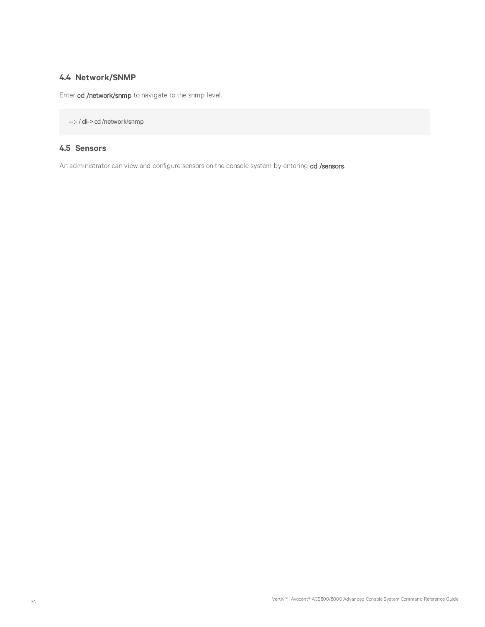## <span id="page-37-0"></span>**4.4 Network/SNMP**

Enter cd /network/snmp to navigate to the snmp level.

--:- / cli-> cd /network/snmp

## <span id="page-37-1"></span>**4.5 Sensors**

An administrator can view and configure sensors on the console system by entering cd /sensors.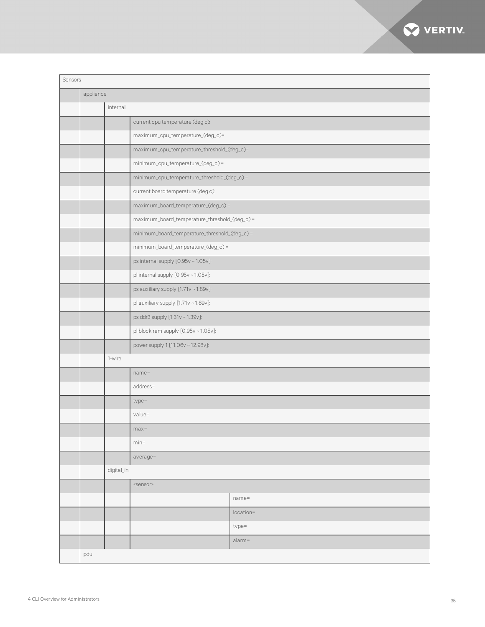

| Sensors |     |            |                                               |           |  |
|---------|-----|------------|-----------------------------------------------|-----------|--|
|         |     | appliance  |                                               |           |  |
|         |     | internal   |                                               |           |  |
|         |     |            | current cpu temperature (deg c):              |           |  |
|         |     |            | maximum_cpu_temperature_(deg_c)=              |           |  |
|         |     |            | maximum_cpu_temperature_threshold_(deg_c)=    |           |  |
|         |     |            | minimum_cpu_temperature_(deg_c) =             |           |  |
|         |     |            | minimum_cpu_temperature_threshold_(deg_c) =   |           |  |
|         |     |            | current board temperature (deg c):            |           |  |
|         |     |            | maximum_board_temperature_(deg_c) =           |           |  |
|         |     |            | maximum_board_temperature_threshold_(deg_c) = |           |  |
|         |     |            | minimum_board_temperature_threshold_(deg_c) = |           |  |
|         |     |            | minimum_board_temperature_(deg_c) =           |           |  |
|         |     |            | ps internal supply [0.95v ~ 1.05v]:           |           |  |
|         |     |            | pl internal supply [0.95v ~ 1.05v]:           |           |  |
|         |     |            | ps auxiliary supply [1.71v ~ 1.89v]:          |           |  |
|         |     |            | pl auxiliary supply [1.71v ~ 1.89v]:          |           |  |
|         |     |            | ps ddr3 supply [1.31v ~ 1.39v]:               |           |  |
|         |     |            | pl block ram supply [0.95v ~ 1.05v]:          |           |  |
|         |     |            | power supply 1 [11.06v ~ 12.98v]:             |           |  |
|         |     | 1-wire     |                                               |           |  |
|         |     |            | $name =$                                      |           |  |
|         |     |            | address=                                      |           |  |
|         |     |            | $type=$                                       |           |  |
|         |     |            | value=                                        |           |  |
|         |     |            | $max=$                                        |           |  |
|         |     |            | $min=$                                        |           |  |
|         |     |            | average=                                      |           |  |
|         |     | digital_in |                                               |           |  |
|         |     |            | <sensor></sensor>                             |           |  |
|         |     |            |                                               | $name =$  |  |
|         |     |            |                                               | location= |  |
|         |     |            |                                               | $type=$   |  |
|         |     |            |                                               | alarm=    |  |
|         | pdu |            |                                               |           |  |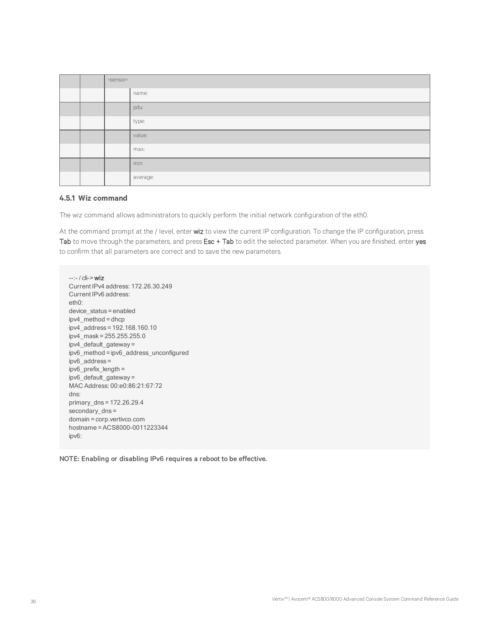|  | <sensor></sensor> |  |
|--|-------------------|--|
|  | name:             |  |
|  | pdu:              |  |
|  | type:             |  |
|  | value:            |  |
|  | max:              |  |
|  | min:              |  |
|  | average:          |  |

#### <span id="page-39-0"></span>**4.5.1 Wiz command**

The wiz command allows administrators to quickly perform the initial network configuration of the eth0.

At the command prompt at the / level, enter wiz to view the current IP configuration. To change the IP configuration, press Tab to move through the parameters, and press Esc + Tab to edit the selected parameter. When you are finished, enter yes to confirm that all parameters are correct and to save the new parameters.

```
--:- / cli-> wiz
Current IPv4 address: 172.26.30.249
Current IPv6 address:
eth0:
device_status = enabled
ipv4_method = dhcp
ipv4_address = 192.168.160.10
ipv4_mask = 255.255.255.0
ipv4_default_gateway =
ipv6_method = ipv6_address_unconfigured
ipv6_address =
ipv6_prefix_length =
ipv6_default_gateway =
MAC Address: 00:e0:86:21:67:72
dns:
primary_dns = 172.26.29.4
secondary_dns =
domain = corp.vertivco.com
hostname = ACS8000-0011223344
ipv6:
```
NOTE: Enabling or disabling IPv6 requires a reboot to be effective.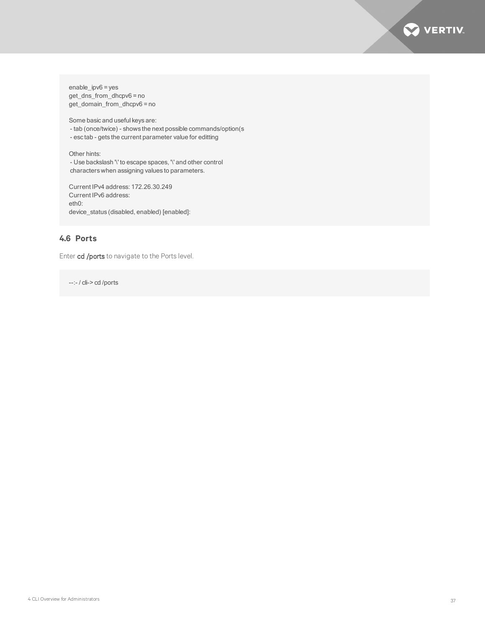

enable\_ipv6 = yes get\_dns\_from\_dhcpv6 = no get\_domain\_from\_dhcpv6 = no

Some basic and useful keys are:

- tab (once/twice) - shows the next possible commands/option(s - esc tab - gets the current parameter value for editting

Other hints: - Use backslash '\' to escape spaces, '\' and other control characters when assigning values to parameters.

Current IPv4 address: 172.26.30.249 Current IPv6 address: eth0: device\_status (disabled, enabled) [enabled]:

## <span id="page-40-0"></span>**4.6 Ports**

Enter cd /ports to navigate to the Ports level.

--:- / cli-> cd /ports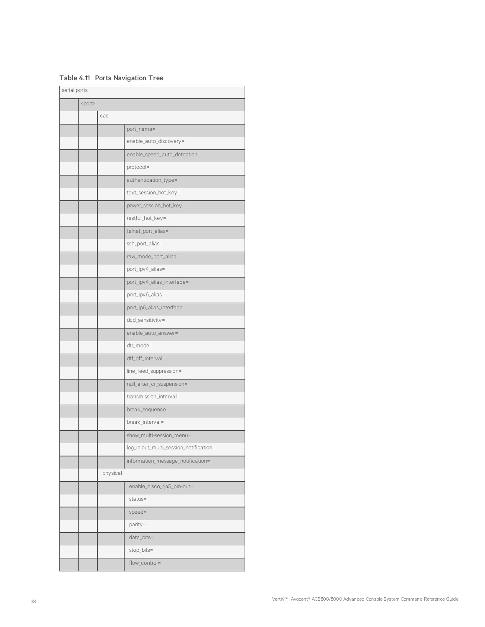| serial ports |               |          |                                        |  |
|--------------|---------------|----------|----------------------------------------|--|
|              | <port></port> |          |                                        |  |
|              |               | cas      |                                        |  |
|              |               |          | port_name=                             |  |
|              |               |          | enable_auto_discovery=                 |  |
|              |               |          | enable_speed_auto_detection=           |  |
|              |               |          | protocol=                              |  |
|              |               |          | authentication_type=                   |  |
|              |               |          | text_session_hot_key=                  |  |
|              |               |          | power_session_hot_key=                 |  |
|              |               |          | restful_hot_key=                       |  |
|              |               |          | telnet_port_alias=                     |  |
|              |               |          | ssh_port_alias=                        |  |
|              |               |          | raw_mode_port_alias=                   |  |
|              |               |          | port_ipv4_alias=                       |  |
|              |               |          | port_ipv4_alias_interface=             |  |
|              |               |          | port_ipv6_alias=                       |  |
|              |               |          | port_ip6_alias_interface=              |  |
|              |               |          | dcd_sensitivity=                       |  |
|              |               |          | enable_auto_answer=                    |  |
|              |               |          | dtr_mode=                              |  |
|              |               |          | dtf_off_interval=                      |  |
|              |               |          | line_feed_suppression=                 |  |
|              |               |          | null_after_cr_suspension=              |  |
|              |               |          | transmission_interval=                 |  |
|              |               |          | break_sequence=                        |  |
|              |               |          | break_interval=                        |  |
|              |               |          | show_multi-session_menu=               |  |
|              |               |          | log_in out_multi_session_notification= |  |
|              |               |          | information_message_notification=      |  |
|              |               | physical |                                        |  |
|              |               |          | enable_cisco_rj45_pin-out=             |  |
|              |               |          | status=                                |  |
|              |               |          | speed=                                 |  |
|              |               |          | parity=                                |  |
|              |               |          | data_bits=                             |  |
|              |               |          | stop_bits=                             |  |
|              |               |          | flow_control=                          |  |
|              |               |          |                                        |  |

Table 4.11 Ports Navigation Tree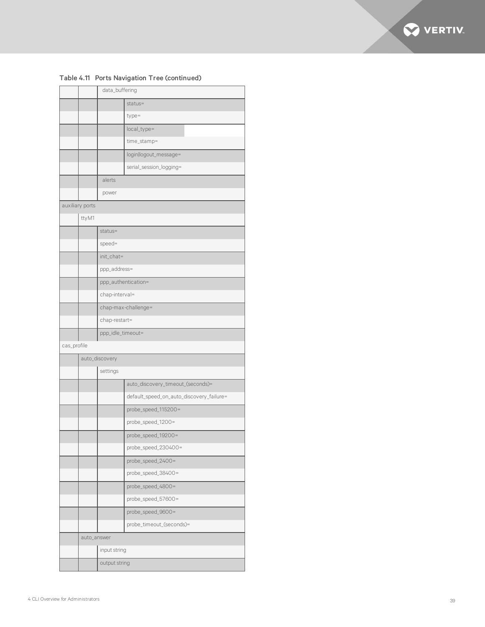

## Table 4.11 Ports Navigation Tree (continued)

|             |                   | data_buffering      |                                          |  |
|-------------|-------------------|---------------------|------------------------------------------|--|
|             |                   |                     | status=                                  |  |
|             |                   |                     | type=                                    |  |
|             |                   |                     | local_type=                              |  |
|             |                   |                     | time_stamp=                              |  |
|             |                   |                     | login logout_message=                    |  |
|             |                   |                     | serial_session_logging=                  |  |
|             |                   | alerts              |                                          |  |
|             |                   | power               |                                          |  |
|             | auxiliary ports   |                     |                                          |  |
|             | ttyM1             |                     |                                          |  |
|             |                   | status=             |                                          |  |
|             |                   | speed=              |                                          |  |
|             |                   | init_chat=          |                                          |  |
|             |                   | ppp_address=        |                                          |  |
|             |                   |                     | ppp_authentication=                      |  |
|             |                   | chap-interval=      |                                          |  |
|             |                   | chap-max-challenge= |                                          |  |
|             |                   | chap-restart=       |                                          |  |
|             | ppp_idle_timeout= |                     |                                          |  |
| cas_profile |                   |                     |                                          |  |
|             |                   | auto_discovery      |                                          |  |
|             |                   | settings            |                                          |  |
|             |                   |                     | auto_discovery_timeout_(seconds)=        |  |
|             |                   |                     | default_speed_on_auto_discovery_failure= |  |
|             |                   |                     | probe_speed_115200=                      |  |
|             |                   |                     | probe_speed_1200=                        |  |
|             |                   |                     | probe_speed_19200=                       |  |
|             |                   |                     | probe_speed_230400=                      |  |
|             |                   |                     | probe_speed_2400=                        |  |
|             |                   |                     | probe_speed_38400=                       |  |
|             |                   |                     | probe_speed_4800=                        |  |
|             |                   |                     | probe_speed_57600=                       |  |
|             |                   |                     | probe_speed_9600=                        |  |
|             |                   |                     | probe_timeout_(seconds)=                 |  |
|             |                   |                     |                                          |  |
|             | auto_answer       |                     |                                          |  |
|             |                   | input string        |                                          |  |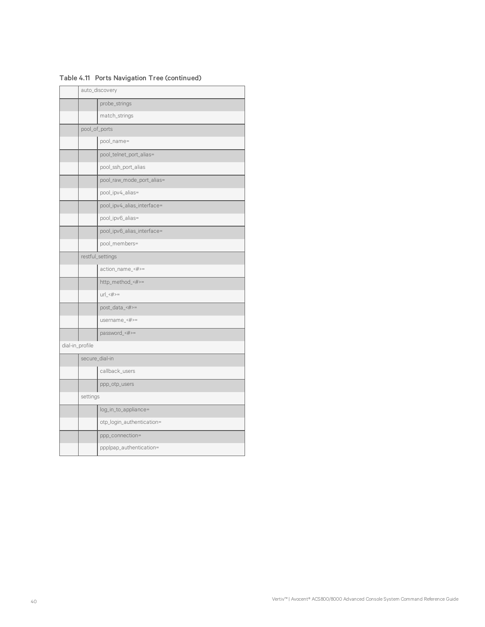|                | Table 4.11 Ports Navigation Tree (continued) |
|----------------|----------------------------------------------|
| auto_discovery |                                              |

|                 | auto_uiscovery   |                            |  |  |  |
|-----------------|------------------|----------------------------|--|--|--|
|                 |                  | probe_strings              |  |  |  |
|                 |                  | match_strings              |  |  |  |
|                 | pool_of_ports    |                            |  |  |  |
|                 |                  | pool_name=                 |  |  |  |
|                 |                  | pool_telnet_port_alias=    |  |  |  |
|                 |                  | pool_ssh_port_alias        |  |  |  |
|                 |                  | pool_raw_mode_port_alias=  |  |  |  |
|                 |                  | pool_ipv4_alias=           |  |  |  |
|                 |                  | pool_ipv4_alias_interface= |  |  |  |
|                 |                  | pool_ipv6_alias=           |  |  |  |
|                 |                  | pool_ipv6_alias_interface= |  |  |  |
|                 |                  | pool_members=              |  |  |  |
|                 | restful_settings |                            |  |  |  |
|                 |                  | action_name_<#>=           |  |  |  |
|                 |                  | http_method_<#>=           |  |  |  |
|                 |                  | $url - 4 ==$               |  |  |  |
|                 |                  | post_data_<#>=             |  |  |  |
|                 |                  | username_<#>=              |  |  |  |
|                 |                  | password_<#>=              |  |  |  |
| dial-in_profile |                  |                            |  |  |  |
|                 | secure_dial-in   |                            |  |  |  |
|                 |                  | callback_users             |  |  |  |
|                 |                  | ppp_otp_users              |  |  |  |
|                 | settings         |                            |  |  |  |
|                 |                  | log_in_to_appliance=       |  |  |  |
|                 |                  | otp_login_authentication=  |  |  |  |
|                 |                  | ppp_connection=            |  |  |  |
|                 |                  | ppplpap_authentication=    |  |  |  |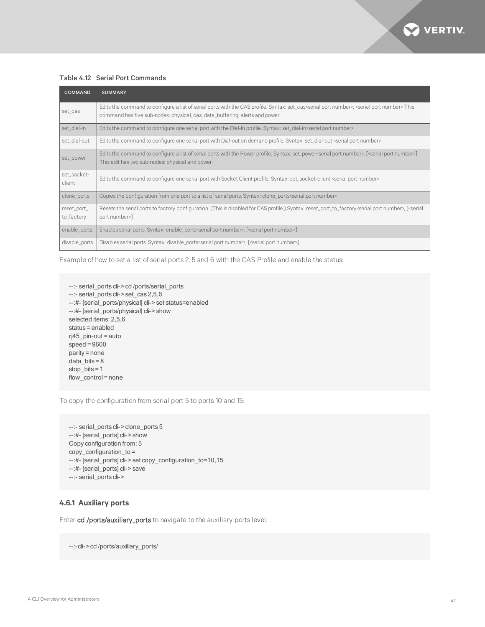

#### Table 4.12 Serial Port Commands

| <b>COMMAND</b>            | <b>SUMMARY</b>                                                                                                                                                                                                                                             |
|---------------------------|------------------------------------------------------------------------------------------------------------------------------------------------------------------------------------------------------------------------------------------------------------|
| set_cas                   | Edits the command to configure a list of serial ports with the CAS profile. Syntax: set cas <serial number="" port="">, <serial number="" port=""> This<br/>command has five sub-nodes: physical, cas, data_buffering, alerts and power.</serial></serial> |
| set_dial-in               | Edits the command to configure one serial port with the Dial-In profile. Syntax: set_dial-in <serial number="" port=""></serial>                                                                                                                           |
| set_dial-out              | Edits the command to configure one serial port with Dial-out on demand profile. Syntax: set_dial-out <serial number="" port=""></serial>                                                                                                                   |
| set_power                 | Edits the command to configure a list of serial ports with the Power profile. Syntax: set_power <serial number="" port="">, [<serial number="" port="">]<br/>This edit has two sub-nodes: physical and power.</serial></serial>                            |
| set socket-<br>client     | Edits the command to configure one serial port with Socket Client profile. Syntax: set_socket-client <serial number="" port=""></serial>                                                                                                                   |
| clone_ports               | Copies the configuration from one port to a list of serial ports. Syntax: clone_ports <serial number="" port=""></serial>                                                                                                                                  |
| reset_port_<br>to_factory | Resets the serial ports to factory configuration. (This is disabled for CAS profile.) Syntax: reset_port_to_factory <serial number="" port="">, [<serial]<br>port number&gt;]</serial]<br></serial>                                                        |
| enable_ports              | Enables serial ports. Syntax: enable_ports <serial number="" port="">, [<serial number="" port="">]</serial></serial>                                                                                                                                      |
| disable_ports             | Disables serial ports. Syntax: disable_ports <serial number="" port="">, [<serial number="" port="">]</serial></serial>                                                                                                                                    |

Example of how to set a list of serial ports 2, 5 and 6 with the CAS Profile and enable the status:

--:- serial\_ports cli-> cd /ports/serial\_ports --:- serial\_ports cli-> set\_cas 2,5,6 --:#- [serial\_ports/physical] cli-> set status=enabled --:#- [serial\_ports/physical] cli-> show selected items: 2,5,6 status = enabled rj45\_pin-out = auto speed = 9600 parity = none data\_bits = 8 stop\_bits = 1 flow\_control = none

To copy the configuration from serial port 5 to ports 10 and 15:

```
--:- serial_ports cli-> clone_ports 5
--:#- [serial_ports] cli-> show
Copy configuration from: 5
copy_configuration_to =
--:#- [serial_ports] cli-> set copy_configuration_to=10,15
--:#- [serial_ports] cli-> save
--:- serial_ports cli->
```
#### <span id="page-44-0"></span>**4.6.1 Auxiliary ports**

Enter cd /ports/auxiliary\_ports to navigate to the auxiliary ports level.

--:-cli-> cd /ports/auxiliary\_ports/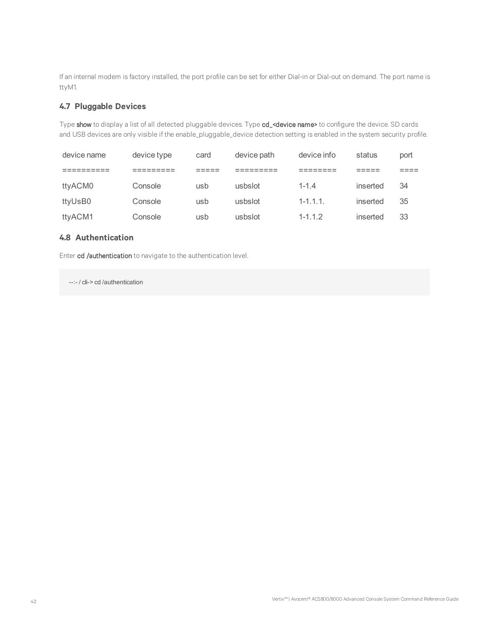If an internal modem is factory installed, the port profile can be set for either Dial-in or Dial-out on demand. The port name is ttyM1.

## <span id="page-45-0"></span>**4.7 Pluggable Devices**

Type show to display a list of all detected pluggable devices. Type cd\_<device name> to configure the device. SD cards and USB devices are only visible if the enable\_pluggable\_device detection setting is enabled in the system security profile.

| device name | device type | card | device path | device info   | status   | port |
|-------------|-------------|------|-------------|---------------|----------|------|
|             |             |      |             |               |          |      |
| ttyACM0     | Console     | usb  | usbslot     | $1 - 1.4$     | inserted | 34   |
| ttyUsB0     | Console     | usb  | usbslot     | $1 - 1.1.1$ . | inserted | 35   |
| ttyACM1     | Console     | usb  | usbslot     | $1 - 112$     | inserted | 33   |

## <span id="page-45-1"></span>**4.8 Authentication**

Enter cd /authentication to navigate to the authentication level.

--:- / cli-> cd /authentication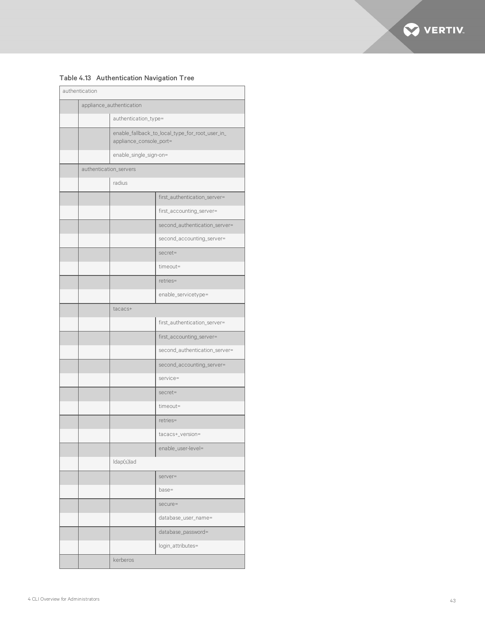

## Table 4.13 Authentication Navigation Tree

| authentication         |                          |                                                 |
|------------------------|--------------------------|-------------------------------------------------|
|                        | appliance_authentication |                                                 |
|                        | authentication_type=     |                                                 |
|                        | appliance_console_port=  | enable_fallback_to_local_type_for_root_user_in_ |
|                        | enable_single_sign-on=   |                                                 |
| authentication_servers |                          |                                                 |
|                        | radius                   |                                                 |
|                        |                          | first_authentication_server=                    |
|                        |                          | first_accounting_server=                        |
|                        |                          | second_authentication_server=                   |
|                        |                          | second_accounting_server=                       |
|                        |                          | secret=                                         |
|                        |                          | timeout=                                        |
|                        |                          | retries=                                        |
|                        |                          | enable_servicetype=                             |
|                        | tacacs+                  |                                                 |
|                        |                          | first_authentication_server=                    |
|                        |                          | first_accounting_server=                        |
|                        |                          | second_authentication_server=                   |
|                        |                          | second_accounting_server=                       |
|                        |                          | service=                                        |
|                        |                          | secret=                                         |
|                        |                          | $timeout=$                                      |
|                        |                          | retries=                                        |
|                        |                          | tacacs+_version=                                |
|                        |                          | enable_user-level=                              |
|                        | ldap(s) ad               |                                                 |
|                        |                          | server=                                         |
|                        |                          | $base =$                                        |
|                        |                          | $secure =$                                      |
|                        |                          | database_user_name=                             |
|                        |                          | database_password=                              |
|                        |                          | login_attributes=                               |
|                        | kerberos                 |                                                 |
|                        |                          |                                                 |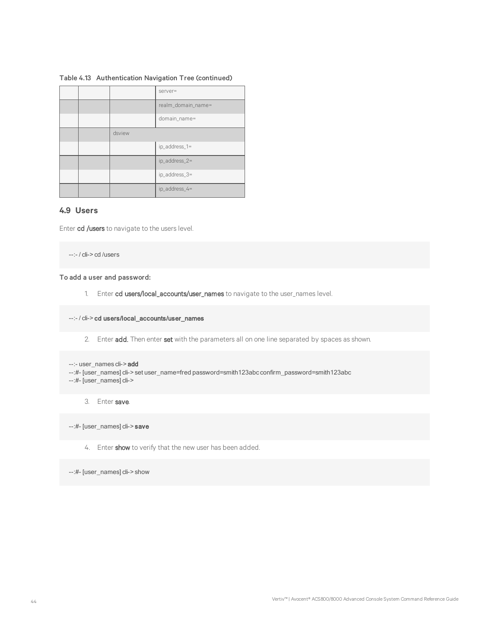#### Table 4.13 Authentication Navigation Tree (continued)

|  |        | server=            |
|--|--------|--------------------|
|  |        | realm_domain_name= |
|  |        | domain_name=       |
|  | dsview |                    |
|  |        | ip_address_1=      |
|  |        | ip_address_2=      |
|  |        | ip_address_3=      |
|  |        | ip_address_4=      |

## <span id="page-47-0"></span>**4.9 Users**

Enter cd /users to navigate to the users level.

--:- / cli-> cd /users

#### To add a user and password:

1. Enter cd users/local\_accounts/user\_names to navigate to the user\_names level.

```
--:- / cli-> cd users/local_accounts/user_names
```
2. Enter add. Then enter set with the parameters all on one line separated by spaces as shown.

```
--:- user_names cli-> add
```
- --:#- [user\_names] cli-> set user\_name=fred password=smith123abc confirm\_password=smith123abc
- --:#- [user\_names] cli->
	- 3. Enter save.

--:#- [user\_names] cli-> save

4. Enter show to verify that the new user has been added.

--:#- [user\_names] cli-> show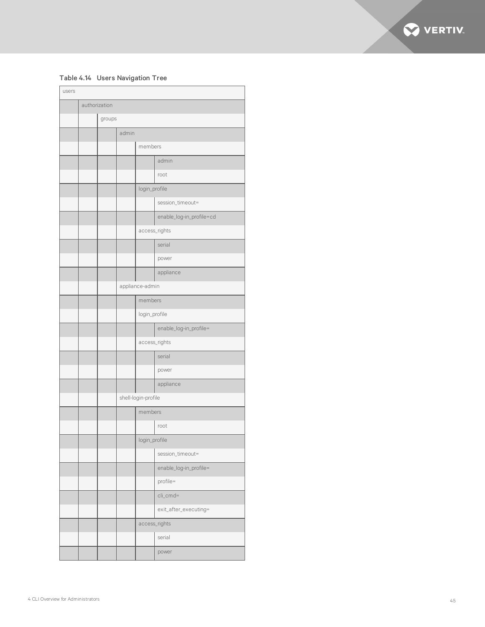

Table 4.14 Users Navigation Tree

| users |               |  |       |                     |                          |
|-------|---------------|--|-------|---------------------|--------------------------|
|       | authorization |  |       |                     |                          |
|       | groups        |  |       |                     |                          |
|       |               |  | admin |                     |                          |
|       |               |  |       | members             |                          |
|       |               |  |       |                     | admin                    |
|       |               |  |       |                     | root                     |
|       |               |  |       | login_profile       |                          |
|       |               |  |       |                     | session_timeout=         |
|       |               |  |       |                     | enable_log-in_profile=cd |
|       |               |  |       | access_rights       |                          |
|       |               |  |       |                     | serial                   |
|       |               |  |       |                     | power                    |
|       |               |  |       |                     | appliance                |
|       |               |  |       | appliance-admin     |                          |
|       |               |  |       | members             |                          |
|       |               |  |       | login_profile       |                          |
|       |               |  |       |                     | enable_log-in_profile=   |
|       |               |  |       | access_rights       |                          |
|       |               |  |       |                     | serial                   |
|       |               |  |       |                     | power                    |
|       |               |  |       |                     | appliance                |
|       |               |  |       | shell-login-profile |                          |
|       |               |  |       | members             |                          |
|       |               |  |       |                     | root                     |
|       |               |  |       | login_profile       |                          |
|       |               |  |       |                     | session_timeout=         |
|       |               |  |       |                     | enable_log-in_profile=   |
|       |               |  |       |                     | profile=                 |
|       |               |  |       |                     | cli_cmd=                 |
|       |               |  |       |                     | exit_after_executing=    |
|       |               |  |       |                     | access_rights            |
|       |               |  |       |                     | serial                   |
|       |               |  |       |                     | power                    |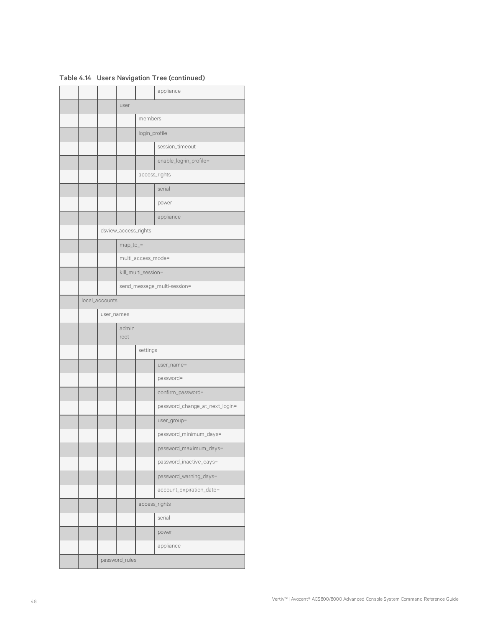| דו הדי שו שו |                |                      |                     | ssors navigation nice (continuou) |
|--------------|----------------|----------------------|---------------------|-----------------------------------|
|              |                |                      |                     | appliance                         |
|              |                | user                 |                     |                                   |
|              |                |                      | members             |                                   |
|              |                |                      | login_profile       |                                   |
|              |                |                      |                     | session_timeout=                  |
|              |                |                      |                     | enable_log-in_profile=            |
|              |                |                      |                     | access_rights                     |
|              |                |                      |                     | serial                            |
|              |                |                      |                     | power                             |
|              |                |                      |                     | appliance                         |
|              |                | dsview_access_rights |                     |                                   |
|              |                | map_to_=             |                     |                                   |
|              |                |                      | multi_access_mode=  |                                   |
|              |                |                      | kill_multi_session= |                                   |
|              |                |                      |                     | send_message_multi-session=       |
|              | local_accounts |                      |                     |                                   |
|              | user_names     |                      |                     |                                   |
|              |                | admin<br>root        |                     |                                   |
|              |                |                      | settings            |                                   |
|              |                |                      |                     | user_name=                        |
|              |                |                      |                     | password=                         |
|              |                |                      |                     | confirm_password=                 |
|              |                |                      |                     | password_change_at_next_login=    |
|              |                |                      |                     | user_group=                       |
|              |                |                      |                     | password_minimum_days=            |
|              |                |                      |                     | password_maximum_days=            |
|              |                |                      |                     | password_inactive_days=           |
|              |                |                      |                     | password_warning_days=            |
|              |                |                      |                     | account_expiration_date=          |
|              |                |                      |                     | access_rights                     |
|              |                |                      |                     | serial                            |
|              |                |                      |                     | power                             |
|              |                |                      |                     | appliance                         |
|              |                | password_rules       |                     |                                   |
|              |                |                      |                     |                                   |

Table 4.14 Users Navigation Tree (continued)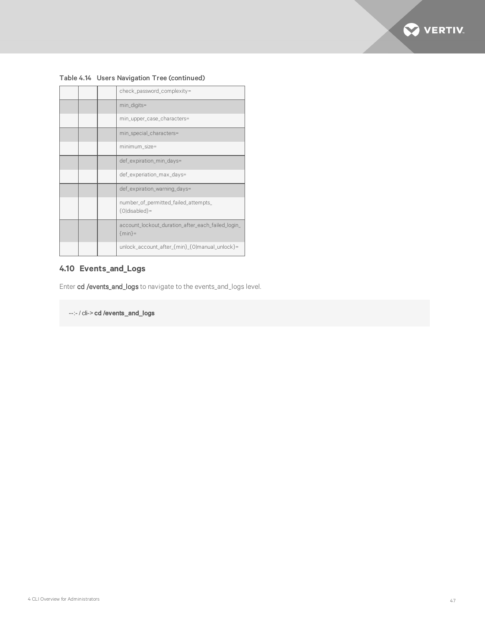

## Table 4.14 Users Navigation Tree (continued)

|  | check_password_complexity=                                   |
|--|--------------------------------------------------------------|
|  | min_digits=                                                  |
|  | min_upper_case_characters=                                   |
|  | min_special_characters=                                      |
|  | minimum_size=                                                |
|  | def_expiration_min_days=                                     |
|  | def_experiation_max_days=                                    |
|  | def_expiration_warning_days=                                 |
|  | number_of_permitted_failed_attempts_<br>$[O disabeled] =$    |
|  | account_lockout_duration_after_each_failed_login_<br>${min}$ |
|  | unlock_account_after_{min}_{0 manual_unlock}=                |

## <span id="page-50-0"></span>**4.10 Events\_and\_Logs**

Enter cd /events\_and\_logs to navigate to the events\_and\_logs level.

--:- / cli-> cd /events\_and\_logs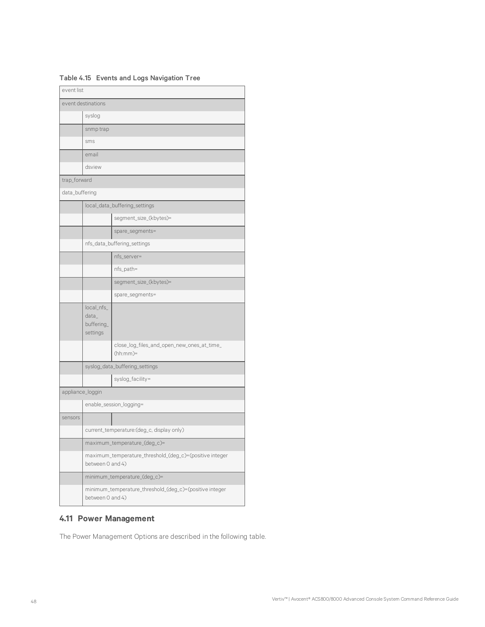| event list         |                                                                             |                                                          |  |  |  |  |  |  |
|--------------------|-----------------------------------------------------------------------------|----------------------------------------------------------|--|--|--|--|--|--|
| event destinations |                                                                             |                                                          |  |  |  |  |  |  |
|                    | syslog                                                                      |                                                          |  |  |  |  |  |  |
|                    | snmp trap                                                                   |                                                          |  |  |  |  |  |  |
|                    | sms                                                                         |                                                          |  |  |  |  |  |  |
|                    | email                                                                       |                                                          |  |  |  |  |  |  |
|                    | dsview                                                                      |                                                          |  |  |  |  |  |  |
| trap_forward       |                                                                             |                                                          |  |  |  |  |  |  |
| data_buffering     |                                                                             |                                                          |  |  |  |  |  |  |
|                    |                                                                             | local_data_buffering_settings                            |  |  |  |  |  |  |
|                    |                                                                             | segment_size_(kbytes)=                                   |  |  |  |  |  |  |
|                    |                                                                             | spare_segments=                                          |  |  |  |  |  |  |
|                    |                                                                             | nfs_data_buffering_settings                              |  |  |  |  |  |  |
|                    |                                                                             | nfs_server=                                              |  |  |  |  |  |  |
|                    |                                                                             | nfs_path=                                                |  |  |  |  |  |  |
|                    |                                                                             | segment_size_(kbytes)=                                   |  |  |  |  |  |  |
|                    |                                                                             | spare_segments=                                          |  |  |  |  |  |  |
|                    | local_nfs_<br>data_<br>buffering_<br>settings                               |                                                          |  |  |  |  |  |  |
|                    |                                                                             | close_log_files_and_open_new_ones_at_time_<br>$(hh:mm)=$ |  |  |  |  |  |  |
|                    |                                                                             | syslog_data_buffering_settings                           |  |  |  |  |  |  |
|                    |                                                                             | syslog_facility=                                         |  |  |  |  |  |  |
| appliance_loggin   |                                                                             |                                                          |  |  |  |  |  |  |
|                    | enable_session_logging=                                                     |                                                          |  |  |  |  |  |  |
| sensors            |                                                                             |                                                          |  |  |  |  |  |  |
|                    |                                                                             | current_temperature:(deg_c, display only)                |  |  |  |  |  |  |
|                    |                                                                             | maximum_temperature_(deg_c)=                             |  |  |  |  |  |  |
|                    | maximum_temperature_threshold_(deg_c)=(positive integer<br>between 0 and 4) |                                                          |  |  |  |  |  |  |
|                    |                                                                             | minimum_temperature_(deg_c)=                             |  |  |  |  |  |  |
|                    | between 0 and 4)                                                            | minimum_temperature_threshold_(deg_c)=(positive integer  |  |  |  |  |  |  |

## Table 4.15 Events and Logs Navigation Tree

## <span id="page-51-0"></span>**4.11 Power Management**

The Power Management Options are described in the following table.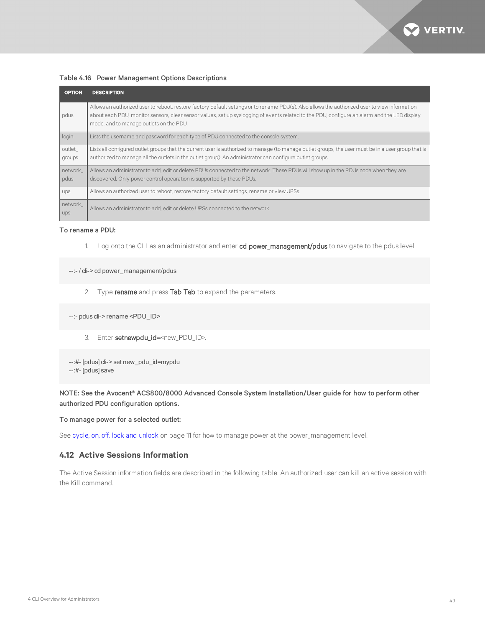

Table 4.16 Power Management Options Descriptions

| <b>OPTION</b>     | <b>DESCRIPTION</b>                                                                                                                                                                                                                                                                                                                        |
|-------------------|-------------------------------------------------------------------------------------------------------------------------------------------------------------------------------------------------------------------------------------------------------------------------------------------------------------------------------------------|
| pdus              | Allows an authorized user to reboot, restore factory default settings or to rename PDU(s). Also allows the authorized user to view information<br>about each PDU, monitor sensors, clear sensor values, set up syslogging of events related to the PDU, configure an alarm and the LED display<br>mode, and to manage outlets on the PDU. |
| login             | Lists the username and password for each type of PDU connected to the console system.                                                                                                                                                                                                                                                     |
| outlet_<br>groups | Lists all configured outlet groups that the current user is authorized to manage (to manage outlet groups, the user must be in a user group that is<br>authorized to manage all the outlets in the outlet group). An administrator can configure outlet groups                                                                            |
| network_<br>pdus  | Allows an administrator to add, edit or delete PDUs connected to the network. These PDUs will show up in the PDUs node when they are<br>discovered. Only power control opearation is supported by these PDUs.                                                                                                                             |
| ups               | Allows an authorized user to reboot, restore factory default settings, rename or view UPSs.                                                                                                                                                                                                                                               |
| network_<br>ups   | Allows an administrator to add, edit or delete UPSs connected to the network.                                                                                                                                                                                                                                                             |

#### To rename a PDU:

1. Log onto the CLI as an administrator and enter cd power\_management/pdus to navigate to the pdus level.

--:- / cli-> cd power\_management/pdus

2. Type rename and press Tab Tab to expand the parameters.

--:- pdus cli-> rename <PDU\_ID>

3. Enter setnewpdu\_id=<new\_PDU\_ID>.

--:#- [pdus] cli-> set new\_pdu\_id=mypdu

--:#- [pdus] save

NOTE: See the Avocent® ACS800/8000 Advanced Console System Installation/User guide for how to perform other authorized PDU configuration options.

#### To manage power for a selected outlet:

<span id="page-52-0"></span>See [cycle, on, off, lock and unlock](#page-14-2) on page 11 for how to manage power at the power\_management level.

## **4.12 Active Sessions Information**

The Active Session information fields are described in the following table. An authorized user can kill an active session with the Kill command.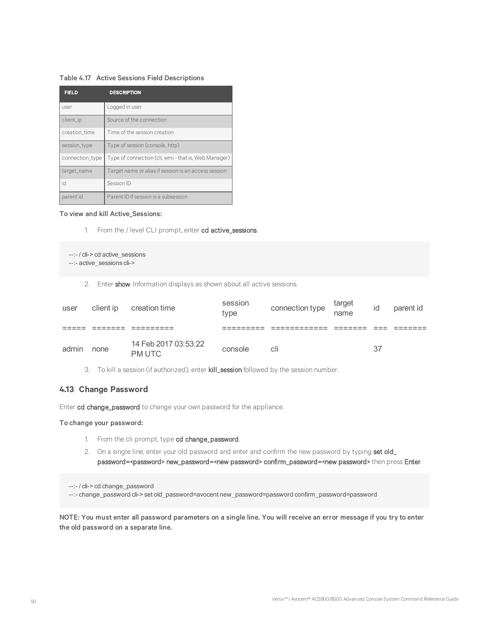#### Table 4.17 Active Sessions Field Descriptions

| <b>FIELD</b>    | <b>DESCRIPTION</b>                                   |
|-----------------|------------------------------------------------------|
| user            | Logged in user                                       |
| client ip       | Source of the connection                             |
| creation time   | Time of the session creation                         |
| session_type    | Type of session (console, http)                      |
| connection_type | Type of connection (cli, wmi - that is, Web Manager) |
| target_name     | Target name or alias if session is an access session |
| id              | Session ID                                           |
| parent id       | Parent ID if session is a subsession                 |

#### To view and kill Active\_Sessions:

1. From the / level CLI prompt, enter cd active\_sessions.

```
--:- / cli-> cd active_sessions
--:- active sessions cli->
```
2. Enter show. Information displays as shown about all active sessions.

| user  | client ip | creation time                  | session<br>type | connection type | target<br>name | id | parent id |
|-------|-----------|--------------------------------|-----------------|-----------------|----------------|----|-----------|
|       |           |                                |                 |                 |                |    |           |
| admin | none      | 14 Feb 2017 03:53:22<br>PM UTC | console         | cli             |                | 37 |           |

3. To kill a session (if authorized), enter **kill\_session** followed by the session number.

#### <span id="page-53-0"></span>**4.13 Change Password**

Enter cd change\_password to change your own password for the appliance.

To change your password:

- 1. From the cli prompt, type cd change\_password.
- 2. On a single line, enter your old password and enter and confirm the new password by typing set old\_ password=<password> new\_password=<new password> confirm\_password=<new password> then press Enter.

```
--:- / cli-> cd change_password
```
--:- change\_password cli-> set old\_password=avocent new\_password=password confirm\_password=password

NOTE: You must enter all password parameters on a single line. You will receive an error message if you try to enter the old password on a separate line.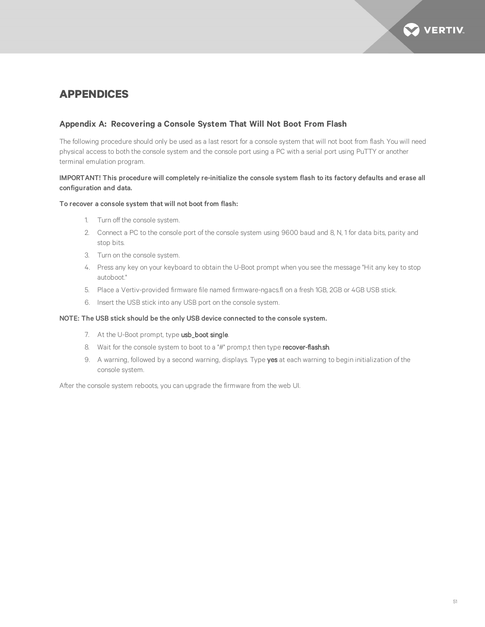

# <span id="page-54-0"></span>**APPENDICES**

## <span id="page-54-1"></span>**Appendix A: Recovering a Console System That Will Not Boot From Flash**

The following procedure should only be used as a last resort for a console system that will not boot from flash. You will need physical access to both the console system and the console port using a PC with a serial port using PuTTY or another terminal emulation program.

## IMPORTANT! This procedure will completely re-initialize the console system flash to its factory defaults and erase all configuration and data.

#### To recover a console system that will not boot from flash:

- 1. Turn off the console system.
- 2. Connect a PC to the console port of the console system using 9600 baud and 8, N, 1 for data bits, parity and stop bits.
- 3. Turn on the console system.
- 4. Press any key on your keyboard to obtain the U-Boot prompt when you see the message "Hit any key to stop autoboot."
- 5. Place a Vertiv-provided firmware file named firmware-ngacs.fl on a fresh 1GB, 2GB or 4GB USB stick.
- 6. Insert the USB stick into any USB port on the console system.

## NOTE: The USB stick should be the only USB device connected to the console system.

- 7. At the U-Boot prompt, type usb\_boot single.
- 8. Wait for the console system to boot to a "#" promp,t then type recover-flash.sh.
- 9. A warning, followed by a second warning, displays. Type yes at each warning to begin initialization of the console system.

After the console system reboots, you can upgrade the firmware from the web UI.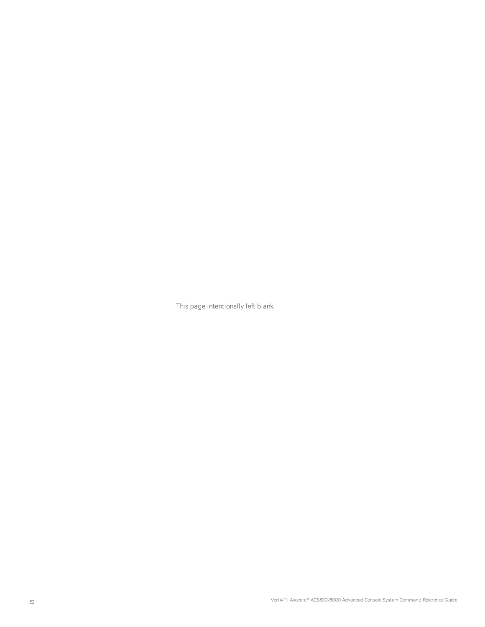This page intentionally left blank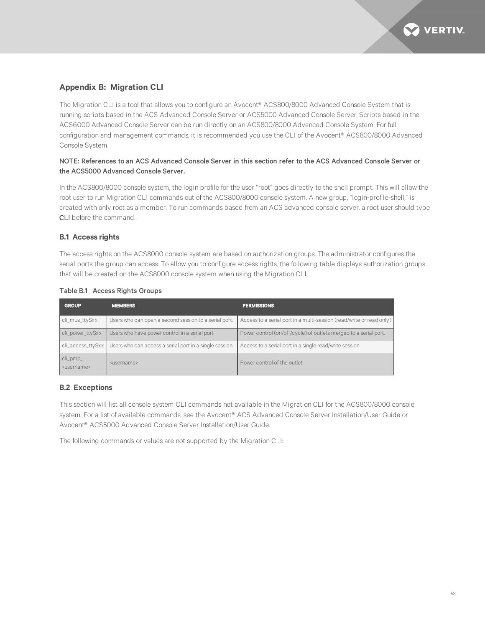

## <span id="page-56-0"></span>**Appendix B: Migration CLI**

The Migration CLI is a tool that allows you to configure an Avocent® ACS800/8000 Advanced Console System that is running scripts based in the ACS Advanced Console Server or ACS5000 Advanced Console Server. Scripts based in the ACS6000 Advanced Console Server can be run directly on an ACS800/8000 Advanced Console System. For full configuration and management commands, it is recommended you use the CLI of the Avocent® ACS800/8000 Advanced Console System.

## NOTE: References to an ACS Advanced Console Server in this section refer to the ACS Advanced Console Server or the ACS5000 Advanced Console Server.

In the ACS800/8000 console system, the login profile for the user "root" goes directly to the shell prompt. This will allow the root user to run Migration CLI commands out of the ACS800/8000 console system. A new group, "login-profile-shell," is created with only root as a member. To run commands based from an ACS advanced console server, a root user should type CLI before the command.

## **B.1 Access rights**

The access rights on the ACS8000 console system are based on authorization groups. The administrator configures the serial ports the group can access. To allow you to configure access rights, the following table displays authorization groups that will be created on the ACS8000 console system when using the Migration CLI.

| <b>GROUP</b>                      | <b>MEMBERS</b>                                          | <b>PERMISSIONS</b>                                                   |
|-----------------------------------|---------------------------------------------------------|----------------------------------------------------------------------|
| cli_mus_ttySxx                    | Users who can open a second session to a serial port.   | Access to a serial port in a multi-session (read/write or read only) |
| cli_power_ttySxx                  | Users who have power control in a serial port.          | Power control (on/off/cycle) of outlets merged to a serial port.     |
| cli access_ttySxx                 | Users who can access a serial port in a single session. | Access to a serial port in a single read/write session.              |
| cli_pmd_<br><username></username> | susername>                                              | Power control of the outlet                                          |

#### Table B.1 Access Rights Groups

#### **B.2 Exceptions**

This section will list all console system CLI commands not available in the Migration CLI for the ACS800/8000 console system. For a list of available commands, see the Avocent® ACS Advanced Console Server Installation/User Guide or Avocent® ACS5000 Advanced Console Server Installation/User Guide.

The following commands or values are not supported by the Migration CLI: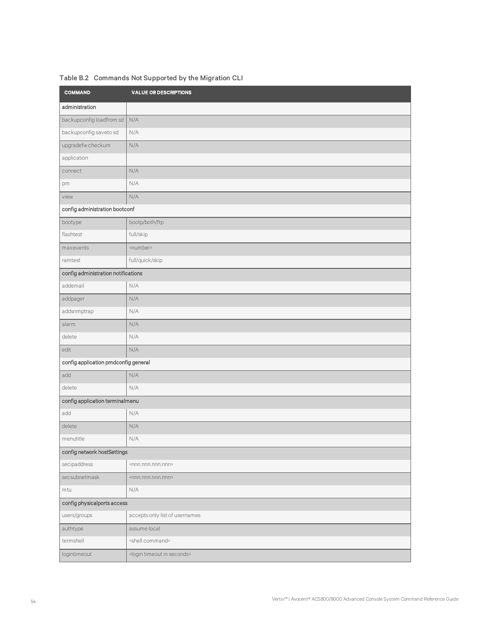## Table B.2 Commands Not Supported by the Migration CLI

| <b>COMMAND</b>                       | <b>VALUE OR DESCRIPTIONS</b>                |  |
|--------------------------------------|---------------------------------------------|--|
| administration                       |                                             |  |
| backupconfig loadfrom sd             | N/A                                         |  |
| backupconfig saveto sd               | N/A                                         |  |
| upgradefw checkum                    | N/A                                         |  |
| application                          |                                             |  |
| connect                              | N/A                                         |  |
| pm                                   | N/A                                         |  |
| view                                 | N/A                                         |  |
| config administration bootconf       |                                             |  |
| bootype                              | bootp/both/ftp                              |  |
| flashtest                            | full/skip                                   |  |
| maxevents                            | <number></number>                           |  |
| ramtest                              | full/quick/skip                             |  |
| config administration notifications  |                                             |  |
| addemail                             | N/A                                         |  |
| addpager                             | N/A                                         |  |
| addsnmptrap                          | N/A                                         |  |
| alarm                                | N/A                                         |  |
| delete                               | N/A                                         |  |
| edit                                 | N/A                                         |  |
| config application pmdconfig general |                                             |  |
| add                                  | N/A                                         |  |
| delete                               | N/A                                         |  |
| config application terminalmenu      |                                             |  |
| add                                  | N/A                                         |  |
| delete                               | N/A                                         |  |
| menutitle                            | N/A                                         |  |
| config network hostSettings          |                                             |  |
| secipaddress                         | <nnn.nnn.nnn.nnn></nnn.nnn.nnn.nnn>         |  |
| secsubnetmask                        | <nnn.nnn.nnn.nnn></nnn.nnn.nnn.nnn>         |  |
| mtu                                  | N/A                                         |  |
| config physicalports access          |                                             |  |
| users/groups                         | accepts only list of usernames              |  |
| authtype                             | assume local                                |  |
| termshell                            | <shell command=""></shell>                  |  |
| logintimeout                         | <login in="" seconds="" timeout=""></login> |  |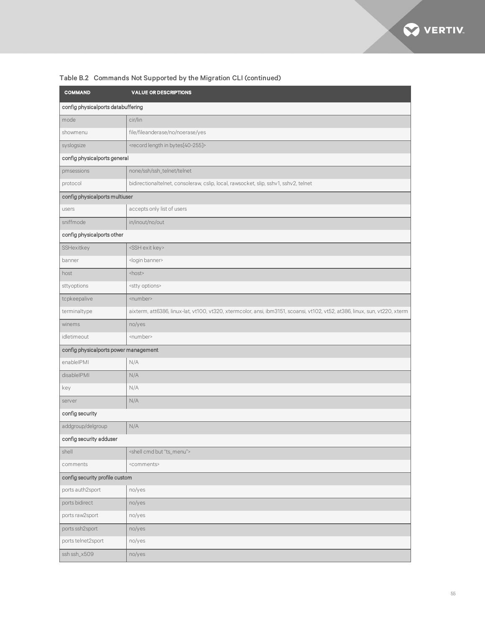

| <b>COMMAND</b>                        | <b>VALUE OR DESCRIPTIONS</b>                                                                                                |  |  |
|---------------------------------------|-----------------------------------------------------------------------------------------------------------------------------|--|--|
| config physicalports databuffering    |                                                                                                                             |  |  |
| mode                                  | cir/lin                                                                                                                     |  |  |
| showmenu                              | file/fileanderase/no/noerase/yes                                                                                            |  |  |
| syslogsize                            | <record bytes[40-255]="" in="" length=""></record>                                                                          |  |  |
| config physicalports general          |                                                                                                                             |  |  |
| pmsessions                            | none/ssh/ssh_telnet/telnet                                                                                                  |  |  |
| protocol                              | bidirectionaltelnet, consoleraw, cslip, local, rawsocket, slip, sshv1, sshv2, telnet                                        |  |  |
|                                       | config physicalports multiuser                                                                                              |  |  |
| users                                 | accepts only list of users                                                                                                  |  |  |
| sniffmode                             | in/inout/no/out                                                                                                             |  |  |
| config physicalports other            |                                                                                                                             |  |  |
| SSHexitkey                            | <ssh exit="" key=""></ssh>                                                                                                  |  |  |
| banner                                | <login banner=""></login>                                                                                                   |  |  |
| host                                  | <host></host>                                                                                                               |  |  |
| sttyoptions                           | <stty options=""></stty>                                                                                                    |  |  |
| tcpkeepalive                          | <number></number>                                                                                                           |  |  |
| terminaltype                          | aixterm, att6386, linux-lat, vt100, vt320, xtermcolor, ansi, ibm3151, scoansi, vt102, vt52, at386, linux, sun, vt220, xterm |  |  |
| winems                                | no/yes                                                                                                                      |  |  |
| idletimeout                           | <number></number>                                                                                                           |  |  |
| config physicalports power management |                                                                                                                             |  |  |
| enableIPMI                            | N/A                                                                                                                         |  |  |
| disableIPMI                           | N/A                                                                                                                         |  |  |
| key                                   | N/A                                                                                                                         |  |  |
| server                                | N/A                                                                                                                         |  |  |
| config security                       |                                                                                                                             |  |  |
| addgroup/delgroup                     | N/A                                                                                                                         |  |  |
| config security adduser               |                                                                                                                             |  |  |
| shell                                 | <shell "ts_menu"="" but="" cmd=""></shell>                                                                                  |  |  |
| comments                              | <comments></comments>                                                                                                       |  |  |
| config security profile custom        |                                                                                                                             |  |  |
| ports auth2sport                      | no/yes                                                                                                                      |  |  |
| ports bidirect                        | no/yes                                                                                                                      |  |  |
| ports raw2sport                       | no/yes                                                                                                                      |  |  |
| ports ssh2sport                       | no/yes                                                                                                                      |  |  |
| ports telnet2sport                    | no/yes                                                                                                                      |  |  |
| ssh ssh_x509                          | no/yes                                                                                                                      |  |  |

## Table B.2 Commands Not Supported by the Migration CLI (continued)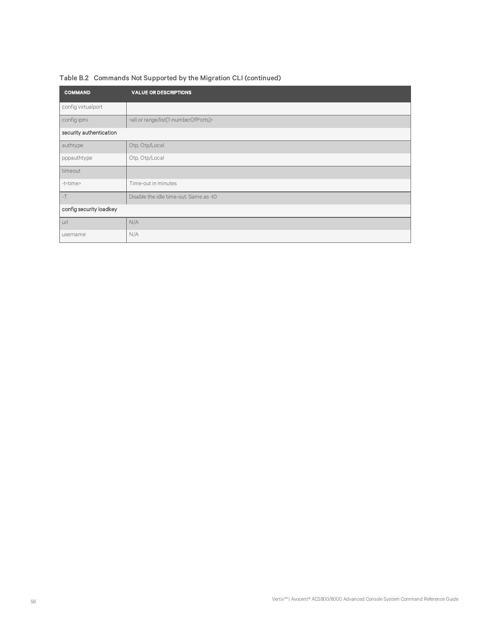## Table B.2 Commands Not Supported by the Migration CLI (continued)

| <b>COMMAND</b>          | <b>VALUE OR DESCRIPTIONS</b>                        |
|-------------------------|-----------------------------------------------------|
| config virtualport      |                                                     |
| config ipmi             | <all list[1-numberofports]="" or="" range=""></all> |
| security authentication |                                                     |
| authtype                | Otp, Otp/Local                                      |
| pppauthtype             | Otp, Otp/Local                                      |
| timeout                 |                                                     |
| -t <time></time>        | Time-out in minutes                                 |
| $-T$                    | Disable the idle time-out. Same as -t0              |
| config security loadkey |                                                     |
| url                     | N/A                                                 |
| username                | N/A                                                 |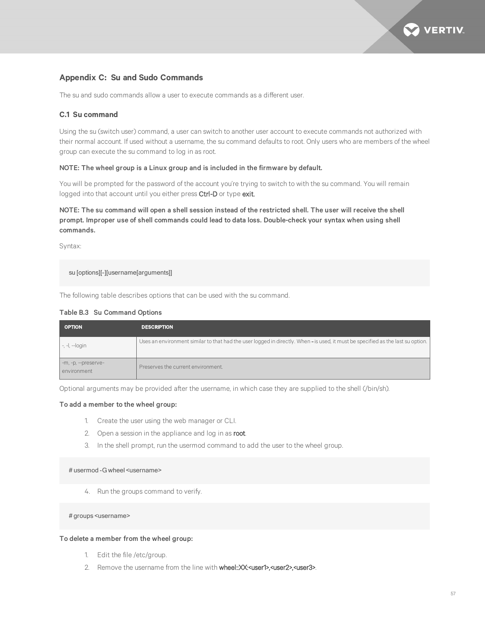# **VERTIV**

## <span id="page-60-0"></span>**Appendix C: Su and Sudo Commands**

The su and sudo commands allow a user to execute commands as a different user.

#### **C.1 Su command**

Using the su (switch user) command, a user can switch to another user account to execute commands not authorized with their normal account. If used without a username, the su command defaults to root. Only users who are members of the wheel group can execute the su command to log in as root.

#### NOTE: The wheel group is a Linux group and is included in the firmware by default.

You will be prompted for the password of the account you're trying to switch to with the su command. You will remain logged into that account until you either press Ctrl-D or type exit.

## NOTE: The su command will open a shell session instead of the restricted shell. The user will receive the shell prompt. Improper use of shell commands could lead to data loss. Double-check your syntax when using shell commands.

Syntax:

#### su [options][-][username[arguments]]

The following table describes options that can be used with the su command.

#### Table B.3 Su Command Options

| <b>OPTION</b>                      | <b>DESCRIPTION</b>                                                                                                               |
|------------------------------------|----------------------------------------------------------------------------------------------------------------------------------|
| $-$ , $-$ l, $-$ login             | Uses an environment similar to that had the user logged in directly. When - is used, it must be specified as the last su option. |
| -m, -p, --preserve-<br>environment | Preserves the current environment.                                                                                               |

Optional arguments may be provided after the username, in which case they are supplied to the shell (/bin/sh).

#### To add a member to the wheel group:

- 1. Create the user using the web manager or CLI.
- 2. Open a session in the appliance and log in as root.
- 3. In the shell prompt, run the usermod command to add the user to the wheel group.

#### # usermod -G wheel <username>

4. Run the groups command to verify.

# groups <username>

#### To delete a member from the wheel group:

- 1. Edit the file /etc/group.
- 2. Remove the username from the line with wheel::XX:<user1>,<user2>,<user3>.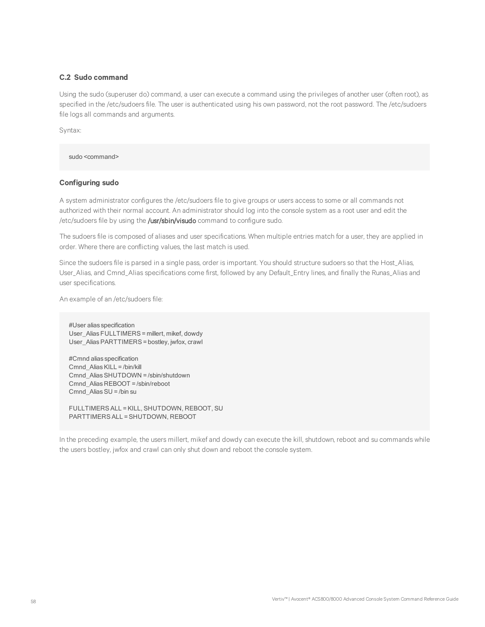### **C.2 Sudo command**

Using the sudo (superuser do) command, a user can execute a command using the privileges of another user (often root), as specified in the /etc/sudoers file. The user is authenticated using his own password, not the root password. The /etc/sudoers file logs all commands and arguments.

Syntax:

sudo <command>

#### **Configuring sudo**

A system administrator configures the /etc/sudoers file to give groups or users access to some or all commands not authorized with their normal account. An administrator should log into the console system as a root user and edit the /etc/sudoers file by using the /usr/sbin/visudo command to configure sudo.

The sudoers file is composed of aliases and user specifications. When multiple entries match for a user, they are applied in order. Where there are conflicting values, the last match is used.

Since the sudoers file is parsed in a single pass, order is important. You should structure sudoers so that the Host\_Alias, User\_Alias, and Cmnd\_Alias specifications come first, followed by any Default\_Entry lines, and finally the Runas\_Alias and user specifications.

An example of an /etc/sudoers file:

#User alias specification User\_Alias FULLTIMERS = millert, mikef, dowdy User\_Alias PARTTIMERS = bostley, jwfox, crawl

#Cmnd alias specification Cmnd\_Alias KILL = /bin/kill Cmnd\_Alias SHUTDOWN = /sbin/shutdown Cmnd\_Alias REBOOT = /sbin/reboot Cmnd\_Alias SU = /bin su

FULLTIMERS ALL = KILL, SHUTDOWN, REBOOT, SU PARTTIMERS ALL = SHUTDOWN, REBOOT

In the preceding example, the users millert, mikef and dowdy can execute the kill, shutdown, reboot and su commands while the users bostley, jwfox and crawl can only shut down and reboot the console system.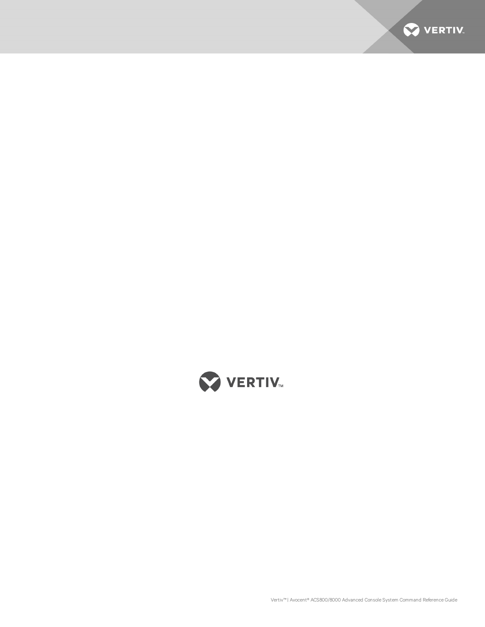